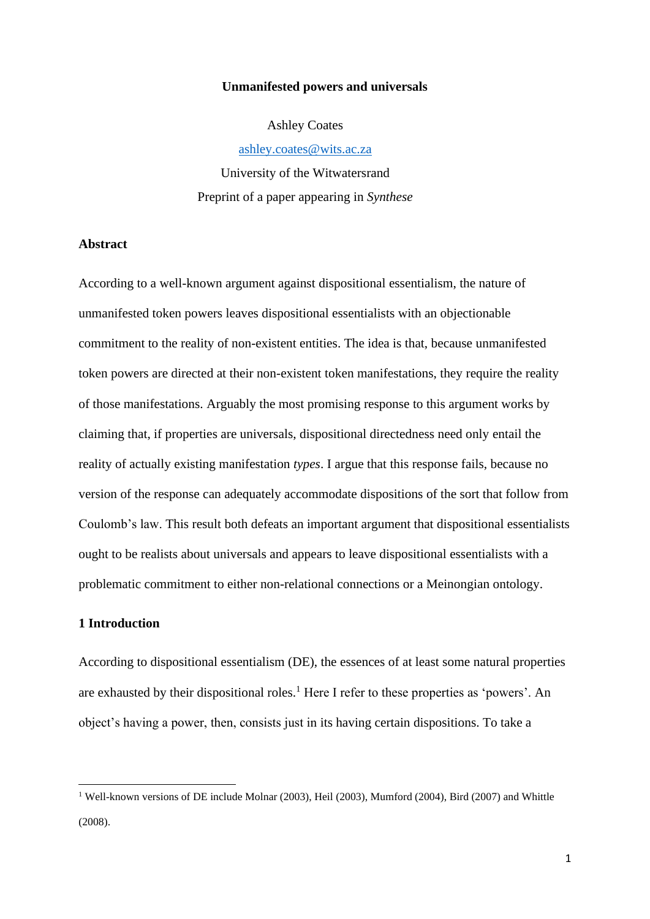#### **Unmanifested powers and universals**

Ashley Coates

[ashley.coates@wits.ac.za](mailto:ashley.coates@wits.ac.za)

University of the Witwatersrand Preprint of a paper appearing in *Synthese*

### **Abstract**

According to a well-known argument against dispositional essentialism, the nature of unmanifested token powers leaves dispositional essentialists with an objectionable commitment to the reality of non-existent entities. The idea is that, because unmanifested token powers are directed at their non-existent token manifestations, they require the reality of those manifestations. Arguably the most promising response to this argument works by claiming that, if properties are universals, dispositional directedness need only entail the reality of actually existing manifestation *types*. I argue that this response fails, because no version of the response can adequately accommodate dispositions of the sort that follow from Coulomb's law. This result both defeats an important argument that dispositional essentialists ought to be realists about universals and appears to leave dispositional essentialists with a problematic commitment to either non-relational connections or a Meinongian ontology.

## **1 Introduction**

According to dispositional essentialism (DE), the essences of at least some natural properties are exhausted by their dispositional roles.<sup>1</sup> Here I refer to these properties as 'powers'. An object's having a power, then, consists just in its having certain dispositions. To take a

<sup>1</sup> Well-known versions of DE include Molnar (2003), Heil (2003), Mumford (2004), Bird (2007) and Whittle (2008).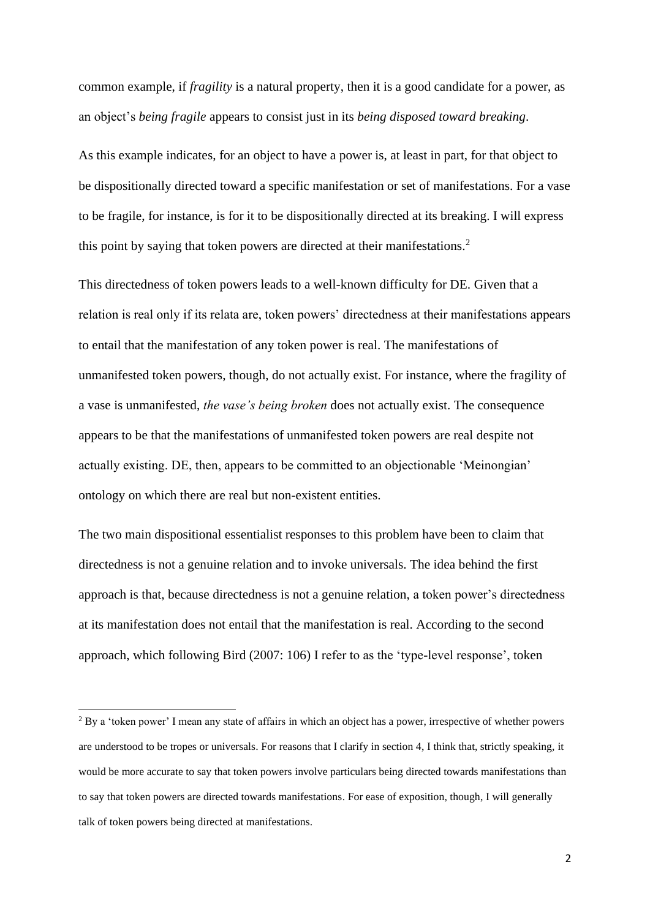common example, if *fragility* is a natural property, then it is a good candidate for a power, as an object's *being fragile* appears to consist just in its *being disposed toward breaking*.

As this example indicates, for an object to have a power is, at least in part, for that object to be dispositionally directed toward a specific manifestation or set of manifestations. For a vase to be fragile, for instance, is for it to be dispositionally directed at its breaking. I will express this point by saying that token powers are directed at their manifestations.<sup>2</sup>

This directedness of token powers leads to a well-known difficulty for DE. Given that a relation is real only if its relata are, token powers' directedness at their manifestations appears to entail that the manifestation of any token power is real. The manifestations of unmanifested token powers, though, do not actually exist. For instance, where the fragility of a vase is unmanifested, *the vase's being broken* does not actually exist. The consequence appears to be that the manifestations of unmanifested token powers are real despite not actually existing. DE, then, appears to be committed to an objectionable 'Meinongian' ontology on which there are real but non-existent entities.

The two main dispositional essentialist responses to this problem have been to claim that directedness is not a genuine relation and to invoke universals. The idea behind the first approach is that, because directedness is not a genuine relation, a token power's directedness at its manifestation does not entail that the manifestation is real. According to the second approach, which following Bird (2007: 106) I refer to as the 'type-level response', token

<sup>&</sup>lt;sup>2</sup> By a 'token power' I mean any state of affairs in which an object has a power, irrespective of whether powers are understood to be tropes or universals. For reasons that I clarify in section 4, I think that, strictly speaking, it would be more accurate to say that token powers involve particulars being directed towards manifestations than to say that token powers are directed towards manifestations. For ease of exposition, though, I will generally talk of token powers being directed at manifestations.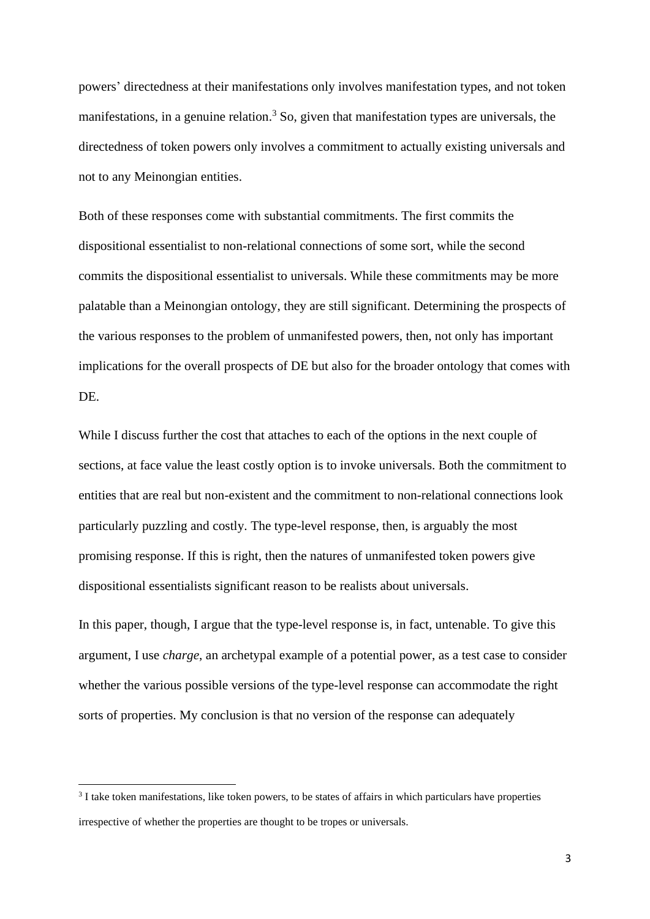powers' directedness at their manifestations only involves manifestation types, and not token manifestations, in a genuine relation.<sup>3</sup> So, given that manifestation types are universals, the directedness of token powers only involves a commitment to actually existing universals and not to any Meinongian entities.

Both of these responses come with substantial commitments. The first commits the dispositional essentialist to non-relational connections of some sort, while the second commits the dispositional essentialist to universals. While these commitments may be more palatable than a Meinongian ontology, they are still significant. Determining the prospects of the various responses to the problem of unmanifested powers, then, not only has important implications for the overall prospects of DE but also for the broader ontology that comes with DE.

While I discuss further the cost that attaches to each of the options in the next couple of sections, at face value the least costly option is to invoke universals. Both the commitment to entities that are real but non-existent and the commitment to non-relational connections look particularly puzzling and costly. The type-level response, then, is arguably the most promising response. If this is right, then the natures of unmanifested token powers give dispositional essentialists significant reason to be realists about universals.

In this paper, though, I argue that the type-level response is, in fact, untenable. To give this argument, I use *charge*, an archetypal example of a potential power, as a test case to consider whether the various possible versions of the type-level response can accommodate the right sorts of properties. My conclusion is that no version of the response can adequately

<sup>&</sup>lt;sup>3</sup> I take token manifestations, like token powers, to be states of affairs in which particulars have properties irrespective of whether the properties are thought to be tropes or universals.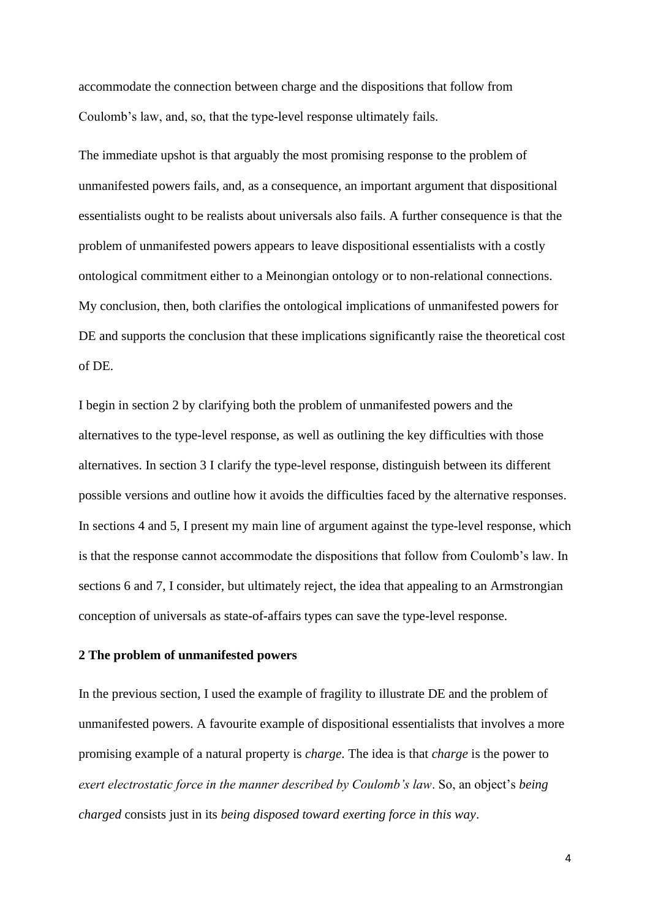accommodate the connection between charge and the dispositions that follow from Coulomb's law, and, so, that the type-level response ultimately fails.

The immediate upshot is that arguably the most promising response to the problem of unmanifested powers fails, and, as a consequence, an important argument that dispositional essentialists ought to be realists about universals also fails. A further consequence is that the problem of unmanifested powers appears to leave dispositional essentialists with a costly ontological commitment either to a Meinongian ontology or to non-relational connections. My conclusion, then, both clarifies the ontological implications of unmanifested powers for DE and supports the conclusion that these implications significantly raise the theoretical cost of DE.

I begin in section 2 by clarifying both the problem of unmanifested powers and the alternatives to the type-level response, as well as outlining the key difficulties with those alternatives. In section 3 I clarify the type-level response, distinguish between its different possible versions and outline how it avoids the difficulties faced by the alternative responses. In sections 4 and 5, I present my main line of argument against the type-level response, which is that the response cannot accommodate the dispositions that follow from Coulomb's law. In sections 6 and 7, I consider, but ultimately reject, the idea that appealing to an Armstrongian conception of universals as state-of-affairs types can save the type-level response.

## **2 The problem of unmanifested powers**

In the previous section, I used the example of fragility to illustrate DE and the problem of unmanifested powers. A favourite example of dispositional essentialists that involves a more promising example of a natural property is *charge*. The idea is that *charge* is the power to *exert electrostatic force in the manner described by Coulomb's law*. So, an object's *being charged* consists just in its *being disposed toward exerting force in this way*.

4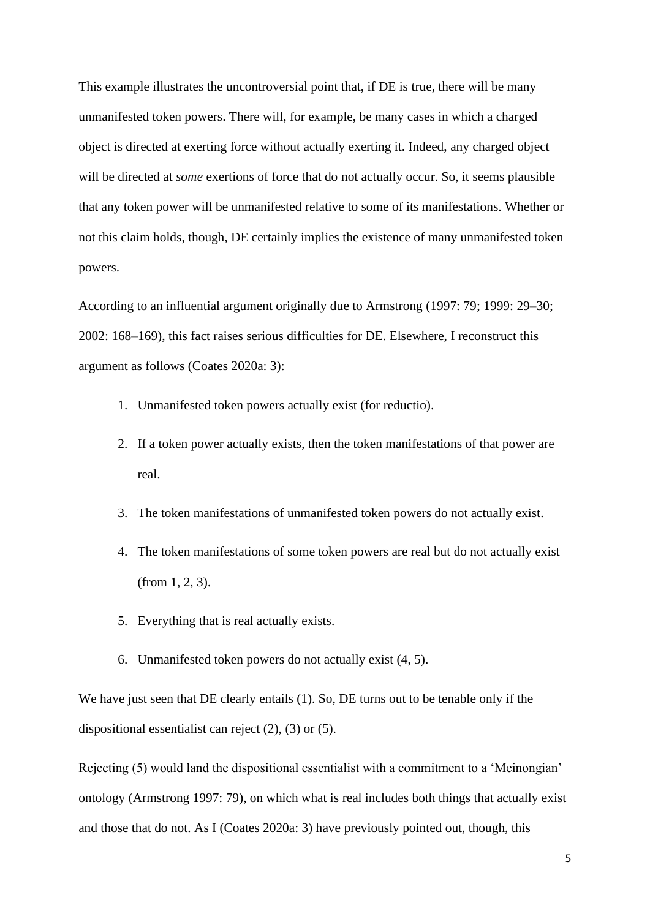This example illustrates the uncontroversial point that, if DE is true, there will be many unmanifested token powers. There will, for example, be many cases in which a charged object is directed at exerting force without actually exerting it. Indeed, any charged object will be directed at *some* exertions of force that do not actually occur. So, it seems plausible that any token power will be unmanifested relative to some of its manifestations. Whether or not this claim holds, though, DE certainly implies the existence of many unmanifested token powers.

According to an influential argument originally due to Armstrong (1997: 79; 1999: 29–30; 2002: 168–169), this fact raises serious difficulties for DE. Elsewhere, I reconstruct this argument as follows (Coates 2020a: 3):

- 1. Unmanifested token powers actually exist (for reductio).
- 2. If a token power actually exists, then the token manifestations of that power are real.
- 3. The token manifestations of unmanifested token powers do not actually exist.
- 4. The token manifestations of some token powers are real but do not actually exist (from 1, 2, 3).
- 5. Everything that is real actually exists.
- 6. Unmanifested token powers do not actually exist (4, 5).

We have just seen that DE clearly entails (1). So, DE turns out to be tenable only if the dispositional essentialist can reject (2), (3) or (5).

Rejecting (5) would land the dispositional essentialist with a commitment to a 'Meinongian' ontology (Armstrong 1997: 79), on which what is real includes both things that actually exist and those that do not. As I (Coates 2020a: 3) have previously pointed out, though, this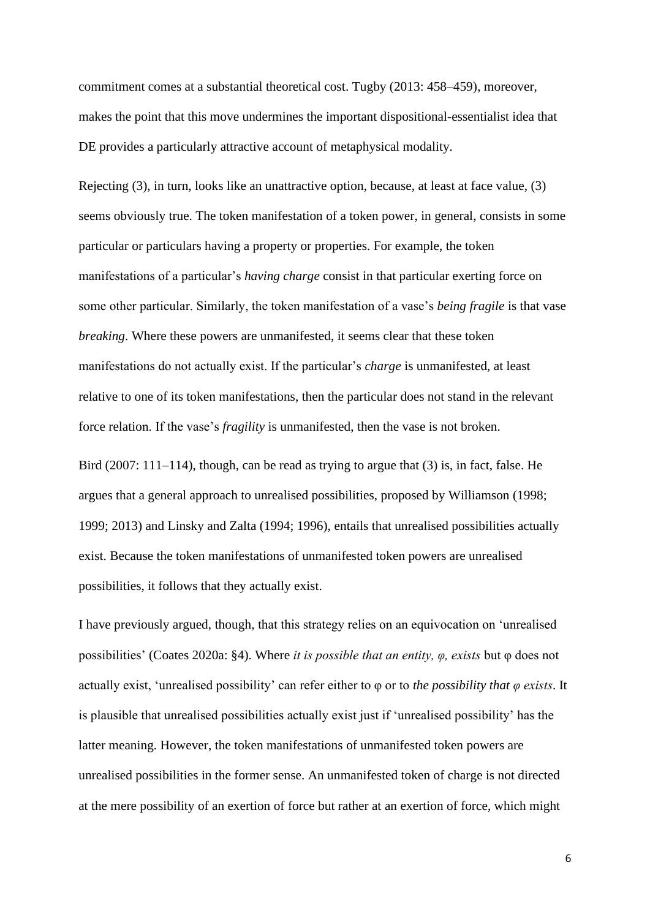commitment comes at a substantial theoretical cost. Tugby (2013: 458–459), moreover, makes the point that this move undermines the important dispositional-essentialist idea that DE provides a particularly attractive account of metaphysical modality.

Rejecting (3), in turn, looks like an unattractive option, because, at least at face value, (3) seems obviously true. The token manifestation of a token power, in general, consists in some particular or particulars having a property or properties. For example, the token manifestations of a particular's *having charge* consist in that particular exerting force on some other particular. Similarly, the token manifestation of a vase's *being fragile* is that vase *breaking*. Where these powers are unmanifested, it seems clear that these token manifestations do not actually exist. If the particular's *charge* is unmanifested, at least relative to one of its token manifestations, then the particular does not stand in the relevant force relation. If the vase's *fragility* is unmanifested, then the vase is not broken.

Bird (2007: 111–114), though, can be read as trying to argue that (3) is, in fact, false. He argues that a general approach to unrealised possibilities, proposed by Williamson (1998; 1999; 2013) and Linsky and Zalta (1994; 1996), entails that unrealised possibilities actually exist. Because the token manifestations of unmanifested token powers are unrealised possibilities, it follows that they actually exist.

I have previously argued, though, that this strategy relies on an equivocation on 'unrealised possibilities' (Coates 2020a: §4). Where *it is possible that an entity, φ, exists* but φ does not actually exist, 'unrealised possibility' can refer either to φ or to *the possibility that φ exists*. It is plausible that unrealised possibilities actually exist just if 'unrealised possibility' has the latter meaning. However, the token manifestations of unmanifested token powers are unrealised possibilities in the former sense. An unmanifested token of charge is not directed at the mere possibility of an exertion of force but rather at an exertion of force, which might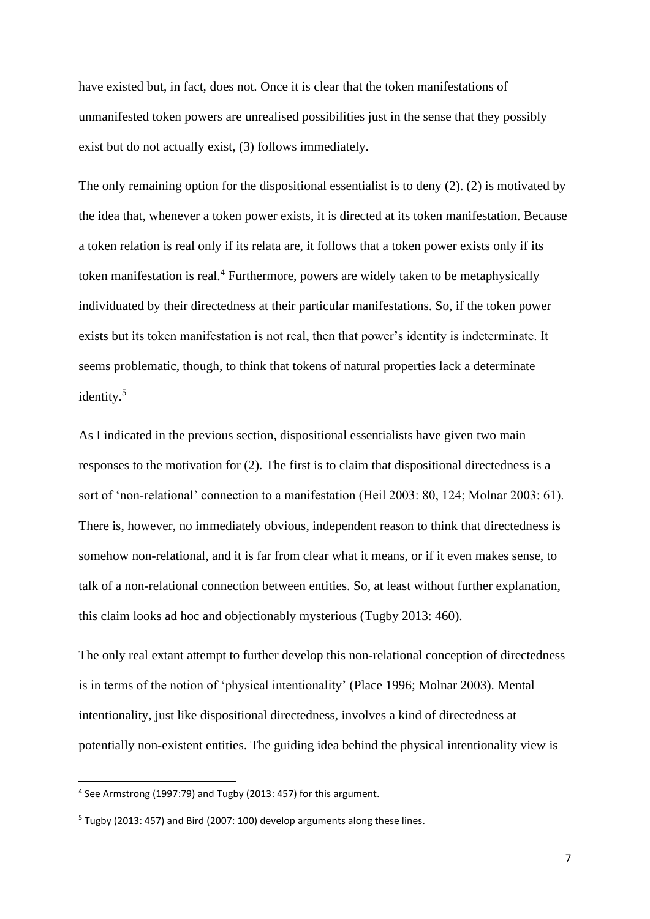have existed but, in fact, does not. Once it is clear that the token manifestations of unmanifested token powers are unrealised possibilities just in the sense that they possibly exist but do not actually exist, (3) follows immediately.

The only remaining option for the dispositional essentialist is to deny (2). (2) is motivated by the idea that, whenever a token power exists, it is directed at its token manifestation. Because a token relation is real only if its relata are, it follows that a token power exists only if its token manifestation is real.<sup>4</sup> Furthermore, powers are widely taken to be metaphysically individuated by their directedness at their particular manifestations. So, if the token power exists but its token manifestation is not real, then that power's identity is indeterminate. It seems problematic, though, to think that tokens of natural properties lack a determinate identity.<sup>5</sup>

As I indicated in the previous section, dispositional essentialists have given two main responses to the motivation for (2). The first is to claim that dispositional directedness is a sort of 'non-relational' connection to a manifestation (Heil 2003: 80, 124; Molnar 2003: 61). There is, however, no immediately obvious, independent reason to think that directedness is somehow non-relational, and it is far from clear what it means, or if it even makes sense, to talk of a non-relational connection between entities. So, at least without further explanation, this claim looks ad hoc and objectionably mysterious (Tugby 2013: 460).

The only real extant attempt to further develop this non-relational conception of directedness is in terms of the notion of 'physical intentionality' (Place 1996; Molnar 2003). Mental intentionality, just like dispositional directedness, involves a kind of directedness at potentially non-existent entities. The guiding idea behind the physical intentionality view is

<sup>4</sup> See Armstrong (1997:79) and Tugby (2013: 457) for this argument.

<sup>5</sup> Tugby (2013: 457) and Bird (2007: 100) develop arguments along these lines.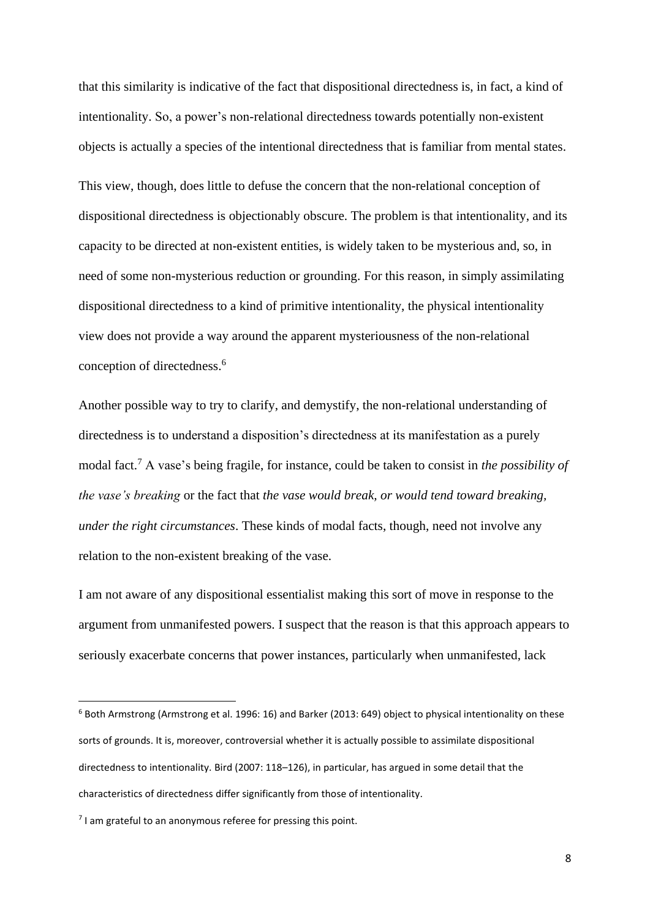that this similarity is indicative of the fact that dispositional directedness is, in fact, a kind of intentionality. So, a power's non-relational directedness towards potentially non-existent objects is actually a species of the intentional directedness that is familiar from mental states. This view, though, does little to defuse the concern that the non-relational conception of dispositional directedness is objectionably obscure. The problem is that intentionality, and its capacity to be directed at non-existent entities, is widely taken to be mysterious and, so, in need of some non-mysterious reduction or grounding. For this reason, in simply assimilating dispositional directedness to a kind of primitive intentionality, the physical intentionality view does not provide a way around the apparent mysteriousness of the non-relational conception of directedness. 6

Another possible way to try to clarify, and demystify, the non-relational understanding of directedness is to understand a disposition's directedness at its manifestation as a purely modal fact.<sup>7</sup> A vase's being fragile, for instance, could be taken to consist in *the possibility of the vase's breaking* or the fact that *the vase would break, or would tend toward breaking, under the right circumstances*. These kinds of modal facts, though, need not involve any relation to the non-existent breaking of the vase.

I am not aware of any dispositional essentialist making this sort of move in response to the argument from unmanifested powers. I suspect that the reason is that this approach appears to seriously exacerbate concerns that power instances, particularly when unmanifested, lack

<sup>6</sup> Both Armstrong (Armstrong et al. 1996: 16) and Barker (2013: 649) object to physical intentionality on these sorts of grounds. It is, moreover, controversial whether it is actually possible to assimilate dispositional directedness to intentionality. Bird (2007: 118–126), in particular, has argued in some detail that the characteristics of directedness differ significantly from those of intentionality.

<sup>&</sup>lt;sup>7</sup> I am grateful to an anonymous referee for pressing this point.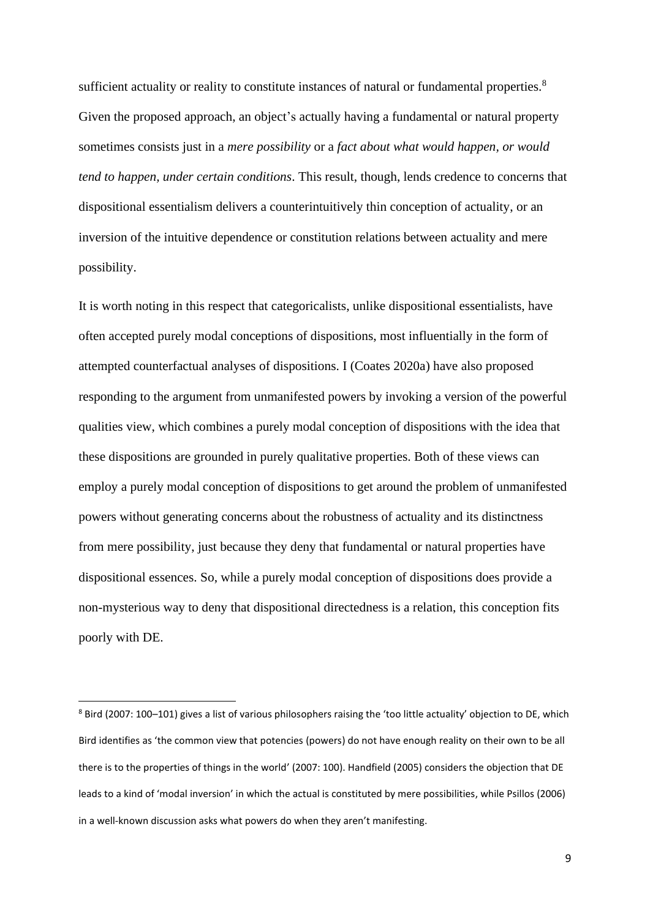sufficient actuality or reality to constitute instances of natural or fundamental properties.<sup>8</sup> Given the proposed approach, an object's actually having a fundamental or natural property sometimes consists just in a *mere possibility* or a *fact about what would happen, or would tend to happen, under certain conditions*. This result, though, lends credence to concerns that dispositional essentialism delivers a counterintuitively thin conception of actuality, or an inversion of the intuitive dependence or constitution relations between actuality and mere possibility.

It is worth noting in this respect that categoricalists, unlike dispositional essentialists, have often accepted purely modal conceptions of dispositions, most influentially in the form of attempted counterfactual analyses of dispositions. I (Coates 2020a) have also proposed responding to the argument from unmanifested powers by invoking a version of the powerful qualities view, which combines a purely modal conception of dispositions with the idea that these dispositions are grounded in purely qualitative properties. Both of these views can employ a purely modal conception of dispositions to get around the problem of unmanifested powers without generating concerns about the robustness of actuality and its distinctness from mere possibility, just because they deny that fundamental or natural properties have dispositional essences. So, while a purely modal conception of dispositions does provide a non-mysterious way to deny that dispositional directedness is a relation, this conception fits poorly with DE.

<sup>8</sup> Bird (2007: 100–101) gives a list of various philosophers raising the 'too little actuality' objection to DE, which Bird identifies as 'the common view that potencies (powers) do not have enough reality on their own to be all there is to the properties of things in the world' (2007: 100). Handfield (2005) considers the objection that DE leads to a kind of 'modal inversion' in which the actual is constituted by mere possibilities, while Psillos (2006) in a well-known discussion asks what powers do when they aren't manifesting.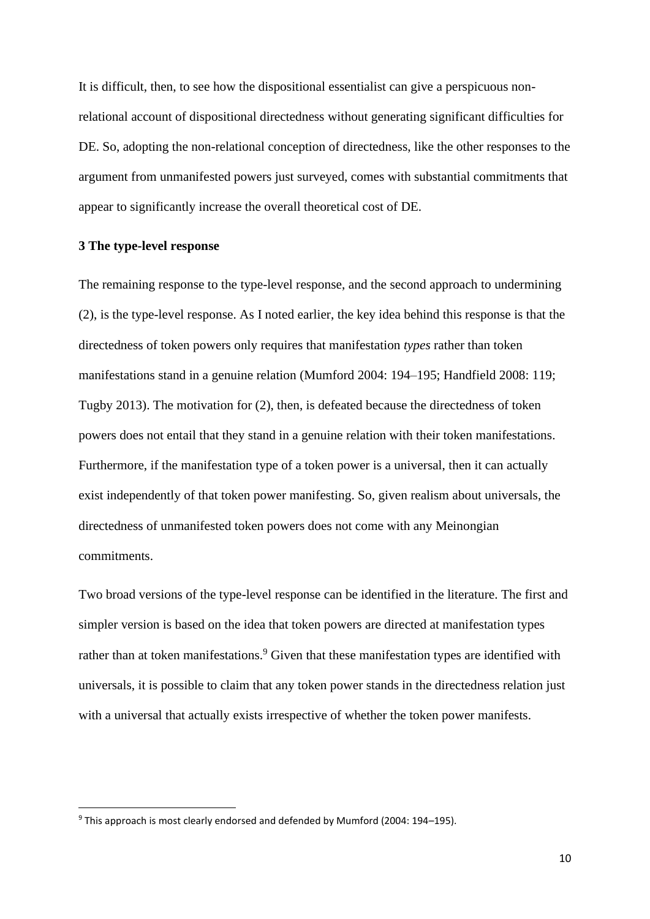It is difficult, then, to see how the dispositional essentialist can give a perspicuous nonrelational account of dispositional directedness without generating significant difficulties for DE. So, adopting the non-relational conception of directedness, like the other responses to the argument from unmanifested powers just surveyed, comes with substantial commitments that appear to significantly increase the overall theoretical cost of DE.

## **3 The type-level response**

The remaining response to the type-level response, and the second approach to undermining (2), is the type-level response. As I noted earlier, the key idea behind this response is that the directedness of token powers only requires that manifestation *types* rather than token manifestations stand in a genuine relation (Mumford 2004: 194–195; Handfield 2008: 119; Tugby 2013). The motivation for (2), then, is defeated because the directedness of token powers does not entail that they stand in a genuine relation with their token manifestations. Furthermore, if the manifestation type of a token power is a universal, then it can actually exist independently of that token power manifesting. So, given realism about universals, the directedness of unmanifested token powers does not come with any Meinongian commitments.

Two broad versions of the type-level response can be identified in the literature. The first and simpler version is based on the idea that token powers are directed at manifestation types rather than at token manifestations.<sup>9</sup> Given that these manifestation types are identified with universals, it is possible to claim that any token power stands in the directedness relation just with a universal that actually exists irrespective of whether the token power manifests.

 $9$  This approach is most clearly endorsed and defended by Mumford (2004: 194–195).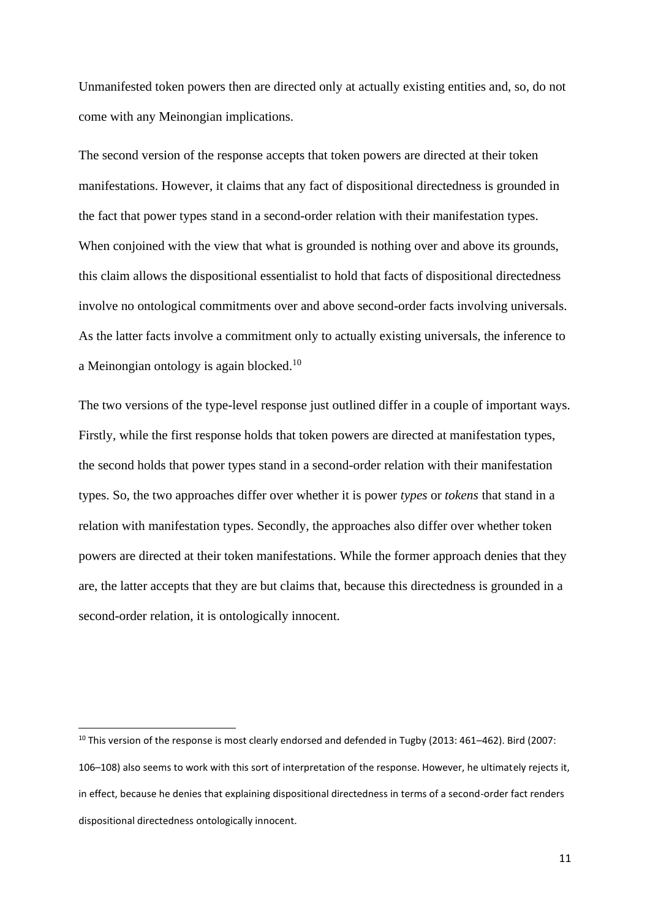Unmanifested token powers then are directed only at actually existing entities and, so, do not come with any Meinongian implications.

The second version of the response accepts that token powers are directed at their token manifestations. However, it claims that any fact of dispositional directedness is grounded in the fact that power types stand in a second-order relation with their manifestation types. When conjoined with the view that what is grounded is nothing over and above its grounds, this claim allows the dispositional essentialist to hold that facts of dispositional directedness involve no ontological commitments over and above second-order facts involving universals. As the latter facts involve a commitment only to actually existing universals, the inference to a Meinongian ontology is again blocked.<sup>10</sup>

The two versions of the type-level response just outlined differ in a couple of important ways. Firstly, while the first response holds that token powers are directed at manifestation types, the second holds that power types stand in a second-order relation with their manifestation types. So, the two approaches differ over whether it is power *types* or *tokens* that stand in a relation with manifestation types. Secondly, the approaches also differ over whether token powers are directed at their token manifestations. While the former approach denies that they are, the latter accepts that they are but claims that, because this directedness is grounded in a second-order relation, it is ontologically innocent.

<sup>&</sup>lt;sup>10</sup> This version of the response is most clearly endorsed and defended in Tugby (2013: 461–462). Bird (2007: 106–108) also seems to work with this sort of interpretation of the response. However, he ultimately rejects it, in effect, because he denies that explaining dispositional directedness in terms of a second-order fact renders dispositional directedness ontologically innocent.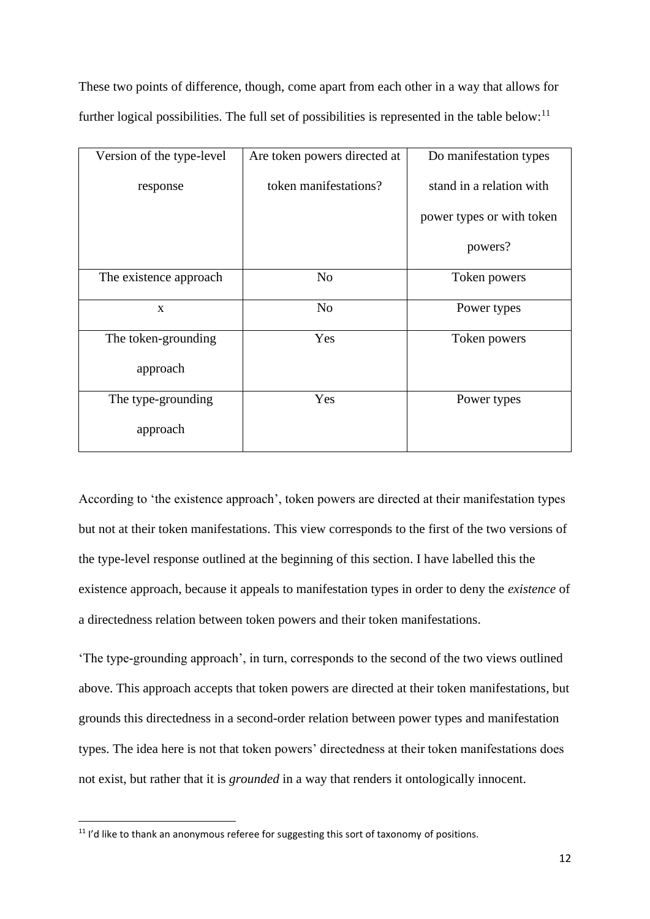These two points of difference, though, come apart from each other in a way that allows for further logical possibilities. The full set of possibilities is represented in the table below:<sup>11</sup>

| Version of the type-level | Are token powers directed at | Do manifestation types    |
|---------------------------|------------------------------|---------------------------|
| response                  | token manifestations?        | stand in a relation with  |
|                           |                              | power types or with token |
|                           |                              | powers?                   |
| The existence approach    | N <sub>o</sub>               | Token powers              |
| $\mathbf{x}$              | N <sub>o</sub>               | Power types               |
| The token-grounding       | Yes                          | Token powers              |
| approach                  |                              |                           |
| The type-grounding        | Yes                          | Power types               |
| approach                  |                              |                           |

According to 'the existence approach', token powers are directed at their manifestation types but not at their token manifestations. This view corresponds to the first of the two versions of the type-level response outlined at the beginning of this section. I have labelled this the existence approach, because it appeals to manifestation types in order to deny the *existence* of a directedness relation between token powers and their token manifestations.

'The type-grounding approach', in turn, corresponds to the second of the two views outlined above. This approach accepts that token powers are directed at their token manifestations, but grounds this directedness in a second-order relation between power types and manifestation types. The idea here is not that token powers' directedness at their token manifestations does not exist, but rather that it is *grounded* in a way that renders it ontologically innocent.

<sup>&</sup>lt;sup>11</sup> I'd like to thank an anonymous referee for suggesting this sort of taxonomy of positions.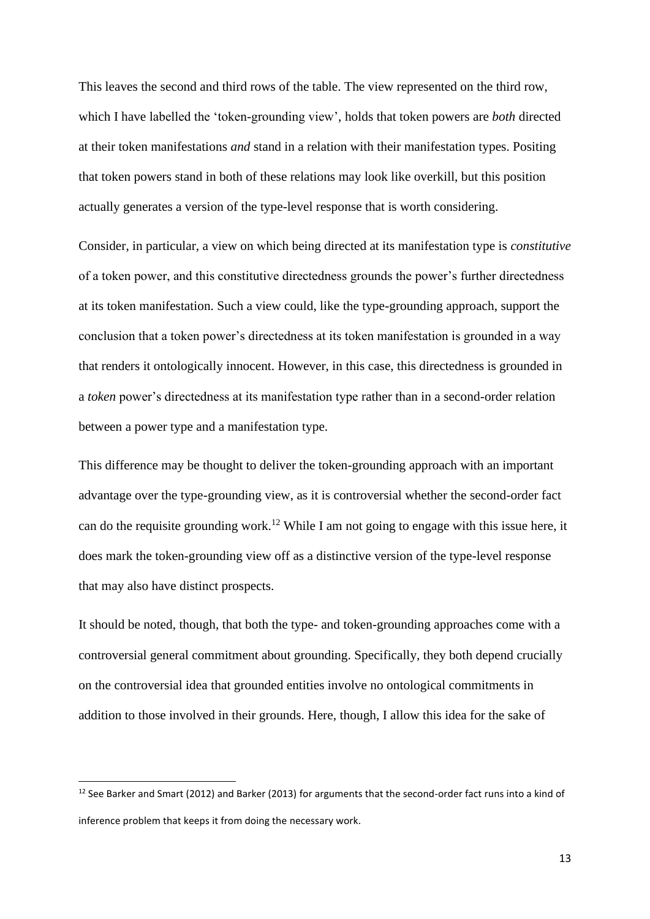This leaves the second and third rows of the table. The view represented on the third row, which I have labelled the 'token-grounding view', holds that token powers are *both* directed at their token manifestations *and* stand in a relation with their manifestation types. Positing that token powers stand in both of these relations may look like overkill, but this position actually generates a version of the type-level response that is worth considering.

Consider, in particular, a view on which being directed at its manifestation type is *constitutive* of a token power, and this constitutive directedness grounds the power's further directedness at its token manifestation. Such a view could, like the type-grounding approach, support the conclusion that a token power's directedness at its token manifestation is grounded in a way that renders it ontologically innocent. However, in this case, this directedness is grounded in a *token* power's directedness at its manifestation type rather than in a second-order relation between a power type and a manifestation type.

This difference may be thought to deliver the token-grounding approach with an important advantage over the type-grounding view, as it is controversial whether the second-order fact can do the requisite grounding work.<sup>12</sup> While I am not going to engage with this issue here, it does mark the token-grounding view off as a distinctive version of the type-level response that may also have distinct prospects.

It should be noted, though, that both the type- and token-grounding approaches come with a controversial general commitment about grounding. Specifically, they both depend crucially on the controversial idea that grounded entities involve no ontological commitments in addition to those involved in their grounds. Here, though, I allow this idea for the sake of

<sup>&</sup>lt;sup>12</sup> See Barker and Smart (2012) and Barker (2013) for arguments that the second-order fact runs into a kind of inference problem that keeps it from doing the necessary work.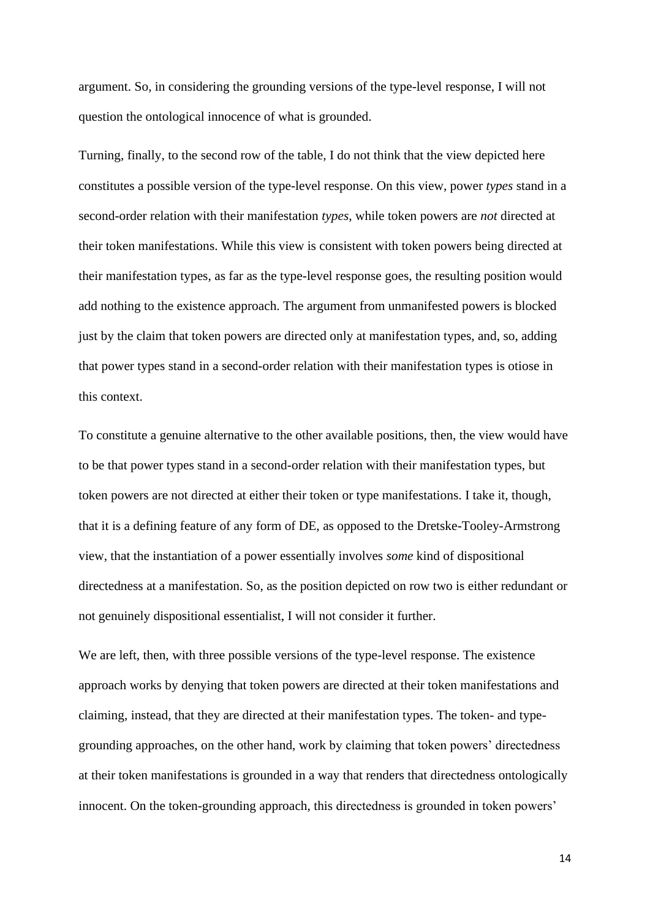argument. So, in considering the grounding versions of the type-level response, I will not question the ontological innocence of what is grounded.

Turning, finally, to the second row of the table, I do not think that the view depicted here constitutes a possible version of the type-level response. On this view, power *types* stand in a second-order relation with their manifestation *types*, while token powers are *not* directed at their token manifestations. While this view is consistent with token powers being directed at their manifestation types, as far as the type-level response goes, the resulting position would add nothing to the existence approach. The argument from unmanifested powers is blocked just by the claim that token powers are directed only at manifestation types, and, so, adding that power types stand in a second-order relation with their manifestation types is otiose in this context.

To constitute a genuine alternative to the other available positions, then, the view would have to be that power types stand in a second-order relation with their manifestation types, but token powers are not directed at either their token or type manifestations. I take it, though, that it is a defining feature of any form of DE, as opposed to the Dretske-Tooley-Armstrong view, that the instantiation of a power essentially involves *some* kind of dispositional directedness at a manifestation. So, as the position depicted on row two is either redundant or not genuinely dispositional essentialist, I will not consider it further.

We are left, then, with three possible versions of the type-level response. The existence approach works by denying that token powers are directed at their token manifestations and claiming, instead, that they are directed at their manifestation types. The token- and typegrounding approaches, on the other hand, work by claiming that token powers' directedness at their token manifestations is grounded in a way that renders that directedness ontologically innocent. On the token-grounding approach, this directedness is grounded in token powers'

14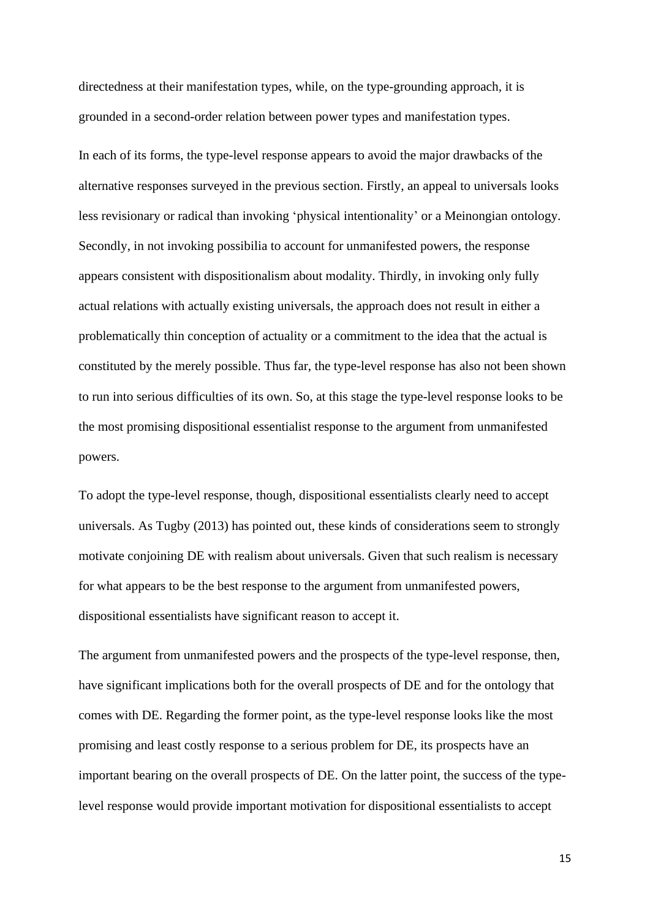directedness at their manifestation types, while, on the type-grounding approach, it is grounded in a second-order relation between power types and manifestation types.

In each of its forms, the type-level response appears to avoid the major drawbacks of the alternative responses surveyed in the previous section. Firstly, an appeal to universals looks less revisionary or radical than invoking 'physical intentionality' or a Meinongian ontology. Secondly, in not invoking possibilia to account for unmanifested powers, the response appears consistent with dispositionalism about modality. Thirdly, in invoking only fully actual relations with actually existing universals, the approach does not result in either a problematically thin conception of actuality or a commitment to the idea that the actual is constituted by the merely possible. Thus far, the type-level response has also not been shown to run into serious difficulties of its own. So, at this stage the type-level response looks to be the most promising dispositional essentialist response to the argument from unmanifested powers.

To adopt the type-level response, though, dispositional essentialists clearly need to accept universals. As Tugby (2013) has pointed out, these kinds of considerations seem to strongly motivate conjoining DE with realism about universals. Given that such realism is necessary for what appears to be the best response to the argument from unmanifested powers, dispositional essentialists have significant reason to accept it.

The argument from unmanifested powers and the prospects of the type-level response, then, have significant implications both for the overall prospects of DE and for the ontology that comes with DE. Regarding the former point, as the type-level response looks like the most promising and least costly response to a serious problem for DE, its prospects have an important bearing on the overall prospects of DE. On the latter point, the success of the typelevel response would provide important motivation for dispositional essentialists to accept

15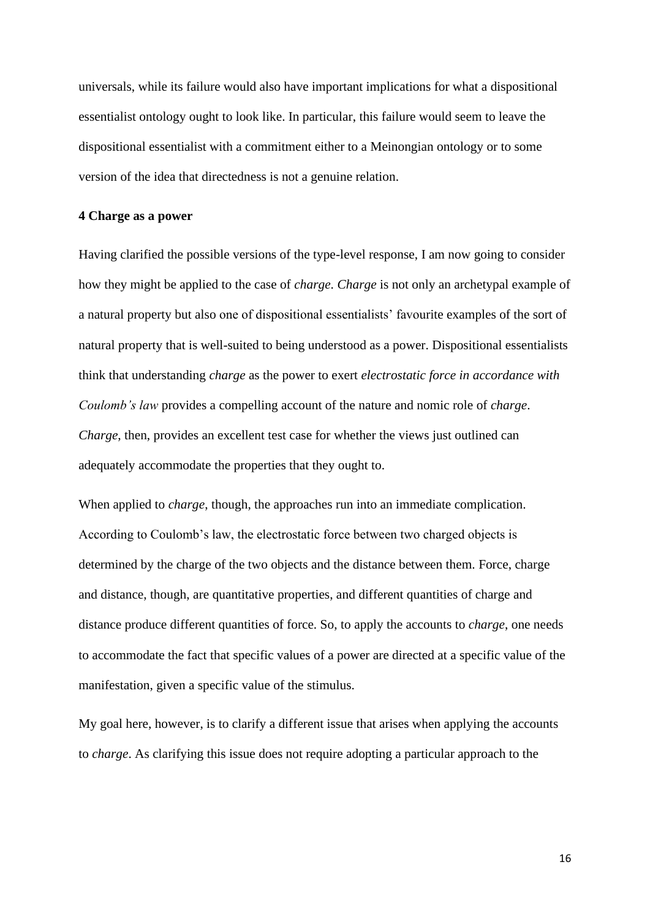universals, while its failure would also have important implications for what a dispositional essentialist ontology ought to look like. In particular, this failure would seem to leave the dispositional essentialist with a commitment either to a Meinongian ontology or to some version of the idea that directedness is not a genuine relation.

## **4 Charge as a power**

Having clarified the possible versions of the type-level response, I am now going to consider how they might be applied to the case of *charge*. *Charge* is not only an archetypal example of a natural property but also one of dispositional essentialists' favourite examples of the sort of natural property that is well-suited to being understood as a power. Dispositional essentialists think that understanding *charge* as the power to exert *electrostatic force in accordance with Coulomb's law* provides a compelling account of the nature and nomic role of *charge*. *Charge*, then, provides an excellent test case for whether the views just outlined can adequately accommodate the properties that they ought to.

When applied to *charge*, though, the approaches run into an immediate complication. According to Coulomb's law, the electrostatic force between two charged objects is determined by the charge of the two objects and the distance between them. Force, charge and distance, though, are quantitative properties, and different quantities of charge and distance produce different quantities of force. So, to apply the accounts to *charge*, one needs to accommodate the fact that specific values of a power are directed at a specific value of the manifestation, given a specific value of the stimulus.

My goal here, however, is to clarify a different issue that arises when applying the accounts to *charge*. As clarifying this issue does not require adopting a particular approach to the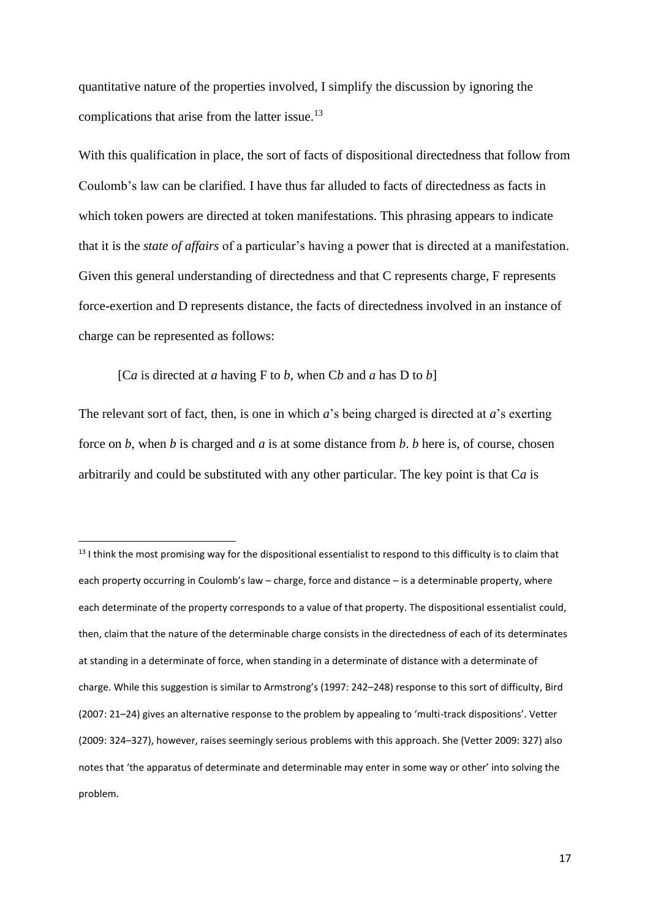quantitative nature of the properties involved, I simplify the discussion by ignoring the complications that arise from the latter issue.<sup>13</sup>

With this qualification in place, the sort of facts of dispositional directedness that follow from Coulomb's law can be clarified. I have thus far alluded to facts of directedness as facts in which token powers are directed at token manifestations. This phrasing appears to indicate that it is the *state of affairs* of a particular's having a power that is directed at a manifestation. Given this general understanding of directedness and that C represents charge, F represents force-exertion and D represents distance, the facts of directedness involved in an instance of charge can be represented as follows:

[C*a* is directed at *a* having F to *b*, when C*b* and *a* has D to *b*]

The relevant sort of fact, then, is one in which *a*'s being charged is directed at *a*'s exerting force on *b*, when *b* is charged and *a* is at some distance from *b*. *b* here is, of course, chosen arbitrarily and could be substituted with any other particular. The key point is that C*a* is

 $13$  I think the most promising way for the dispositional essentialist to respond to this difficulty is to claim that each property occurring in Coulomb's law – charge, force and distance – is a determinable property, where each determinate of the property corresponds to a value of that property. The dispositional essentialist could, then, claim that the nature of the determinable charge consists in the directedness of each of its determinates at standing in a determinate of force, when standing in a determinate of distance with a determinate of charge. While this suggestion is similar to Armstrong's (1997: 242–248) response to this sort of difficulty, Bird (2007: 21–24) gives an alternative response to the problem by appealing to 'multi-track dispositions'. Vetter (2009: 324–327), however, raises seemingly serious problems with this approach. She (Vetter 2009: 327) also notes that 'the apparatus of determinate and determinable may enter in some way or other' into solving the problem.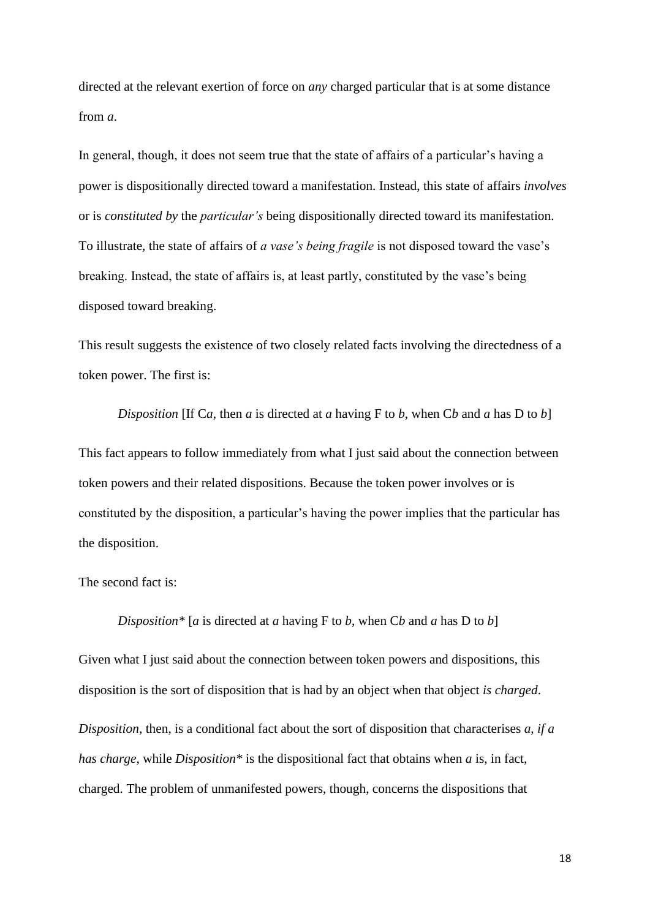directed at the relevant exertion of force on *any* charged particular that is at some distance from *a*.

In general, though, it does not seem true that the state of affairs of a particular's having a power is dispositionally directed toward a manifestation. Instead, this state of affairs *involves* or is *constituted by* the *particular's* being dispositionally directed toward its manifestation. To illustrate, the state of affairs of *a vase's being fragile* is not disposed toward the vase's breaking. Instead, the state of affairs is, at least partly, constituted by the vase's being disposed toward breaking.

This result suggests the existence of two closely related facts involving the directedness of a token power. The first is:

*Disposition* [If C*a*, then *a* is directed at *a* having F to *b*, when C*b* and *a* has D to *b*] This fact appears to follow immediately from what I just said about the connection between token powers and their related dispositions. Because the token power involves or is constituted by the disposition, a particular's having the power implies that the particular has the disposition.

The second fact is:

*Disposition\** [*a* is directed at *a* having F to *b*, when C*b* and *a* has D to *b*]

Given what I just said about the connection between token powers and dispositions, this disposition is the sort of disposition that is had by an object when that object *is charged*.

*Disposition*, then, is a conditional fact about the sort of disposition that characterises *a*, *if a has charge*, while *Disposition\** is the dispositional fact that obtains when *a* is, in fact, charged. The problem of unmanifested powers, though, concerns the dispositions that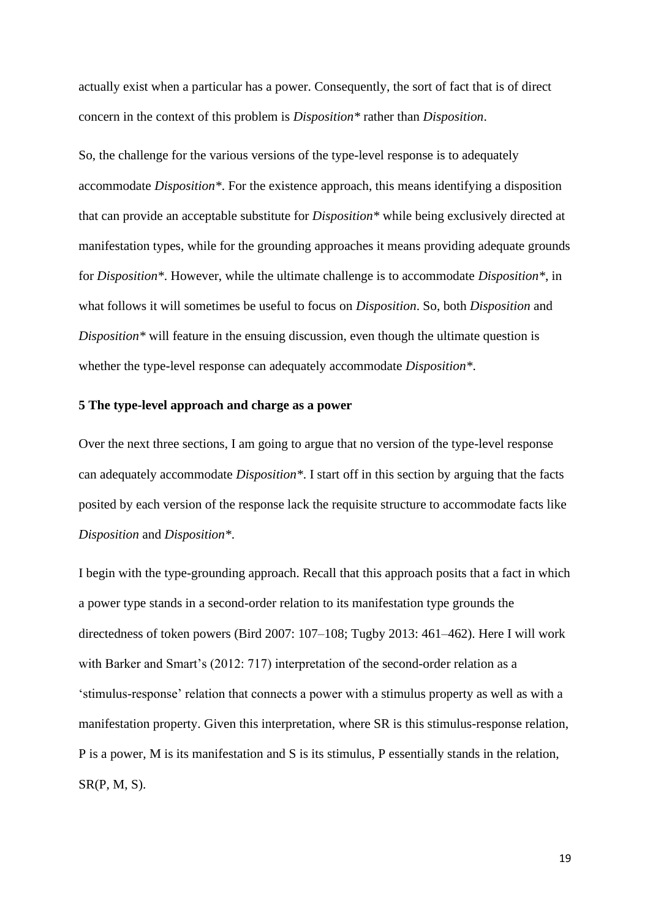actually exist when a particular has a power. Consequently, the sort of fact that is of direct concern in the context of this problem is *Disposition\** rather than *Disposition*.

So, the challenge for the various versions of the type-level response is to adequately accommodate *Disposition\**. For the existence approach, this means identifying a disposition that can provide an acceptable substitute for *Disposition\** while being exclusively directed at manifestation types, while for the grounding approaches it means providing adequate grounds for *Disposition\**. However, while the ultimate challenge is to accommodate *Disposition\**, in what follows it will sometimes be useful to focus on *Disposition*. So, both *Disposition* and *Disposition\** will feature in the ensuing discussion, even though the ultimate question is whether the type-level response can adequately accommodate *Disposition\**.

## **5 The type-level approach and charge as a power**

Over the next three sections, I am going to argue that no version of the type-level response can adequately accommodate *Disposition\**. I start off in this section by arguing that the facts posited by each version of the response lack the requisite structure to accommodate facts like *Disposition* and *Disposition\**.

I begin with the type-grounding approach. Recall that this approach posits that a fact in which a power type stands in a second-order relation to its manifestation type grounds the directedness of token powers (Bird 2007: 107–108; Tugby 2013: 461–462). Here I will work with Barker and Smart's (2012: 717) interpretation of the second-order relation as a 'stimulus-response' relation that connects a power with a stimulus property as well as with a manifestation property. Given this interpretation, where SR is this stimulus-response relation, P is a power, M is its manifestation and S is its stimulus, P essentially stands in the relation,  $SR(P, M, S)$ .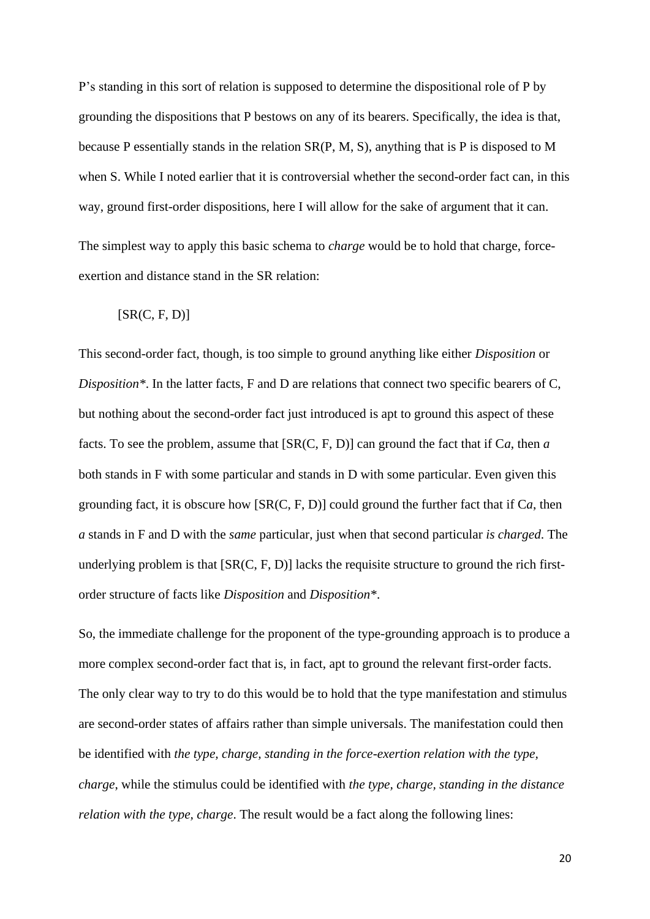P's standing in this sort of relation is supposed to determine the dispositional role of P by grounding the dispositions that P bestows on any of its bearers. Specifically, the idea is that, because P essentially stands in the relation SR(P, M, S), anything that is P is disposed to M when S. While I noted earlier that it is controversial whether the second-order fact can, in this way, ground first-order dispositions, here I will allow for the sake of argument that it can. The simplest way to apply this basic schema to *charge* would be to hold that charge, forceexertion and distance stand in the SR relation:

#### $[SR(C, F, D)]$

This second-order fact, though, is too simple to ground anything like either *Disposition* or *Disposition\**. In the latter facts, F and D are relations that connect two specific bearers of C, but nothing about the second-order fact just introduced is apt to ground this aspect of these facts. To see the problem, assume that [SR(C, F, D)] can ground the fact that if C*a*, then *a*  both stands in F with some particular and stands in D with some particular. Even given this grounding fact, it is obscure how [SR(C, F, D)] could ground the further fact that if C*a*, then *a* stands in F and D with the *same* particular, just when that second particular *is charged*. The underlying problem is that [SR(C, F, D)] lacks the requisite structure to ground the rich firstorder structure of facts like *Disposition* and *Disposition\**.

So, the immediate challenge for the proponent of the type-grounding approach is to produce a more complex second-order fact that is, in fact, apt to ground the relevant first-order facts. The only clear way to try to do this would be to hold that the type manifestation and stimulus are second-order states of affairs rather than simple universals. The manifestation could then be identified with *the type, charge, standing in the force-exertion relation with the type, charge*, while the stimulus could be identified with *the type, charge, standing in the distance relation with the type, charge*. The result would be a fact along the following lines: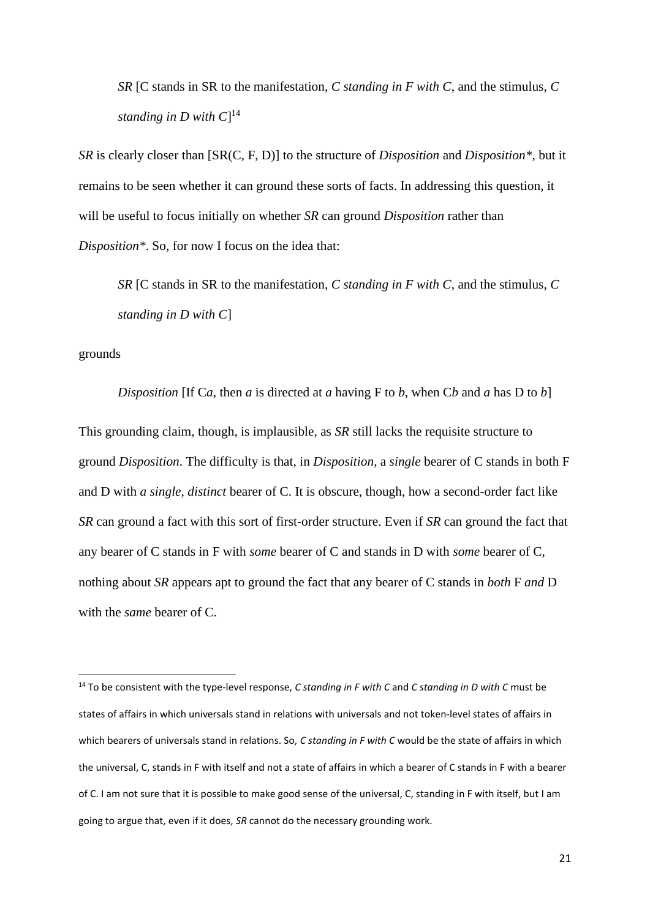*SR* [C stands in SR to the manifestation, *C standing in F with C*, and the stimulus, *C standing in D with C*] 14

*SR* is clearly closer than [SR(C, F, D)] to the structure of *Disposition* and *Disposition\**, but it remains to be seen whether it can ground these sorts of facts. In addressing this question, it will be useful to focus initially on whether *SR* can ground *Disposition* rather than *Disposition\**. So, for now I focus on the idea that:

*SR* [C stands in SR to the manifestation, *C standing in F with C*, and the stimulus, *C standing in D with C*]

grounds

*Disposition* [If C*a*, then *a* is directed at *a* having F to *b*, when C*b* and *a* has D to *b*] This grounding claim, though, is implausible, as *SR* still lacks the requisite structure to ground *Disposition*. The difficulty is that, in *Disposition*, a *single* bearer of C stands in both F and D with *a single, distinct* bearer of C. It is obscure, though, how a second-order fact like *SR* can ground a fact with this sort of first-order structure. Even if *SR* can ground the fact that any bearer of C stands in F with *some* bearer of C and stands in D with *some* bearer of C, nothing about *SR* appears apt to ground the fact that any bearer of C stands in *both* F *and* D with the *same* bearer of C.

<sup>14</sup> To be consistent with the type-level response, *C standing in F with C* and *C standing in D with C* must be states of affairs in which universals stand in relations with universals and not token-level states of affairs in which bearers of universals stand in relations. So, *C standing in F with C* would be the state of affairs in which the universal, C, stands in F with itself and not a state of affairs in which a bearer of C stands in F with a bearer of C. I am not sure that it is possible to make good sense of the universal, C, standing in F with itself, but I am going to argue that, even if it does, *SR* cannot do the necessary grounding work.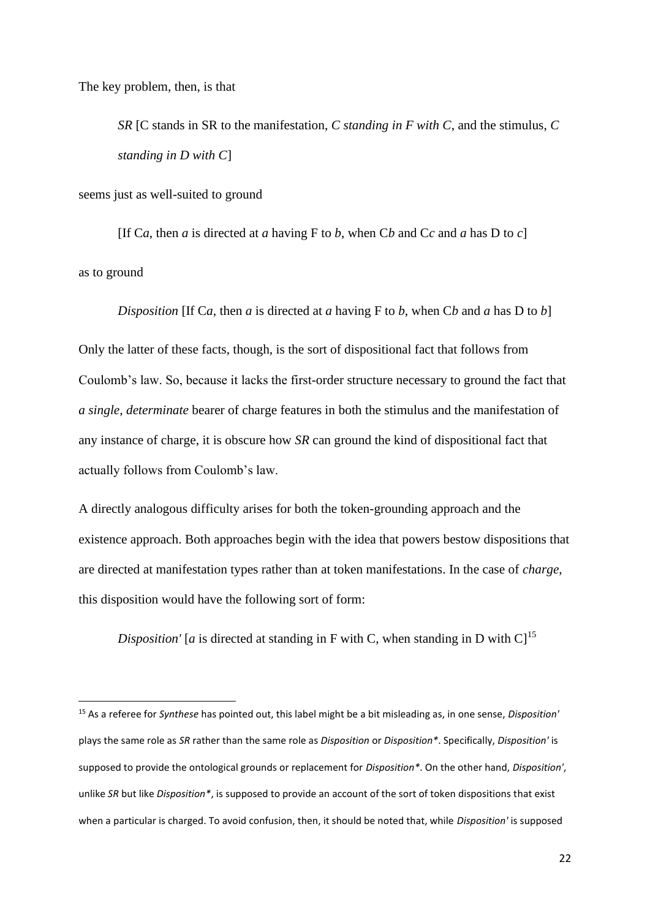The key problem, then, is that

*SR* [C stands in SR to the manifestation, *C standing in F with C*, and the stimulus, *C standing in D with C*]

seems just as well-suited to ground

[If C*a*, then *a* is directed at *a* having F to *b*, when C*b* and C*c* and *a* has D to *c*] as to ground

*Disposition* [If C*a*, then *a* is directed at *a* having F to *b*, when C*b* and *a* has D to *b*]

Only the latter of these facts, though, is the sort of dispositional fact that follows from Coulomb's law. So, because it lacks the first-order structure necessary to ground the fact that *a single, determinate* bearer of charge features in both the stimulus and the manifestation of any instance of charge, it is obscure how *SR* can ground the kind of dispositional fact that actually follows from Coulomb's law.

A directly analogous difficulty arises for both the token-grounding approach and the existence approach. Both approaches begin with the idea that powers bestow dispositions that are directed at manifestation types rather than at token manifestations. In the case of *charge*, this disposition would have the following sort of form:

*Disposition'* [*a* is directed at standing in F with C, when standing in D with C]<sup>15</sup>

<sup>15</sup> As a referee for *Synthese* has pointed out, this label might be a bit misleading as, in one sense, *Disposition'* plays the same role as *SR* rather than the same role as *Disposition* or *Disposition\**. Specifically, *Disposition'* is supposed to provide the ontological grounds or replacement for *Disposition\**. On the other hand, *Disposition'*, unlike *SR* but like *Disposition\**, is supposed to provide an account of the sort of token dispositions that exist when a particular is charged. To avoid confusion, then, it should be noted that, while *Disposition'* is supposed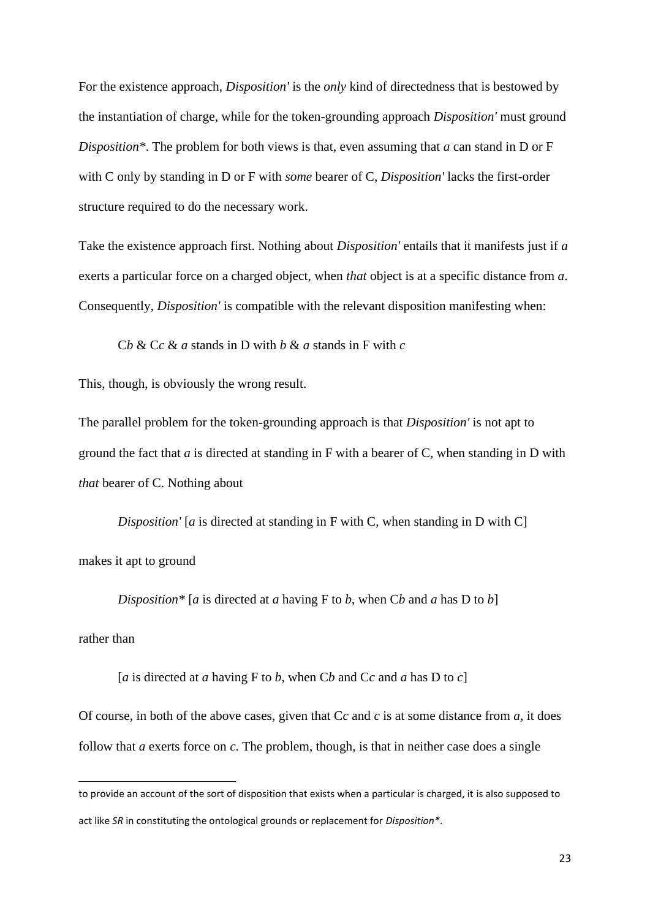For the existence approach, *Disposition'* is the *only* kind of directedness that is bestowed by the instantiation of charge, while for the token-grounding approach *Disposition'* must ground *Disposition\**. The problem for both views is that, even assuming that *a* can stand in D or F with C only by standing in D or F with *some* bearer of C, *Disposition'* lacks the first-order structure required to do the necessary work.

Take the existence approach first. Nothing about *Disposition'* entails that it manifests just if *a* exerts a particular force on a charged object, when *that* object is at a specific distance from *a*. Consequently, *Disposition'* is compatible with the relevant disposition manifesting when:

C*b* & C*c* & *a* stands in D with *b* & *a* stands in F with *c*

This, though, is obviously the wrong result.

The parallel problem for the token-grounding approach is that *Disposition'* is not apt to ground the fact that *a* is directed at standing in F with a bearer of C, when standing in D with *that* bearer of C. Nothing about

*Disposition'* [*a* is directed at standing in F with C, when standing in D with C] makes it apt to ground

*Disposition\** [*a* is directed at *a* having F to *b*, when C*b* and *a* has D to *b*]

rather than

[*a* is directed at *a* having F to *b*, when C*b* and C*c* and *a* has D to *c*]

Of course, in both of the above cases, given that C*c* and *c* is at some distance from *a*, it does follow that *a* exerts force on *c*. The problem, though, is that in neither case does a single

to provide an account of the sort of disposition that exists when a particular is charged, it is also supposed to act like *SR* in constituting the ontological grounds or replacement for *Disposition\**.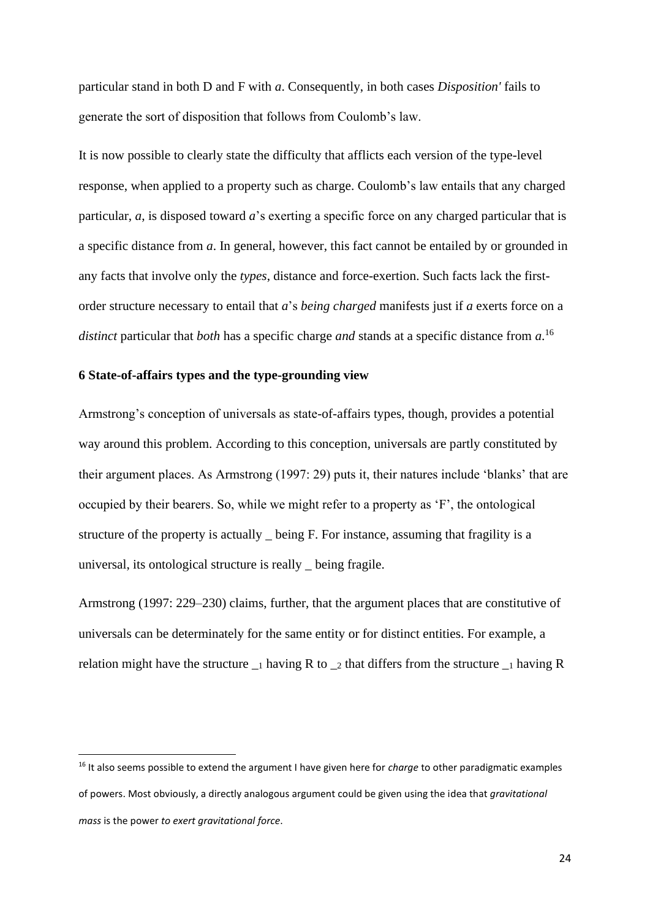particular stand in both D and F with *a*. Consequently, in both cases *Disposition'* fails to generate the sort of disposition that follows from Coulomb's law.

It is now possible to clearly state the difficulty that afflicts each version of the type-level response, when applied to a property such as charge. Coulomb's law entails that any charged particular, *a*, is disposed toward *a*'s exerting a specific force on any charged particular that is a specific distance from *a*. In general, however, this fact cannot be entailed by or grounded in any facts that involve only the *types*, distance and force-exertion. Such facts lack the firstorder structure necessary to entail that *a*'s *being charged* manifests just if *a* exerts force on a *distinct* particular that *both* has a specific charge *and* stands at a specific distance from *a*. 16

## **6 State-of-affairs types and the type-grounding view**

Armstrong's conception of universals as state-of-affairs types, though, provides a potential way around this problem. According to this conception, universals are partly constituted by their argument places. As Armstrong (1997: 29) puts it, their natures include 'blanks' that are occupied by their bearers. So, while we might refer to a property as 'F', the ontological structure of the property is actually being F. For instance, assuming that fragility is a universal, its ontological structure is really *\_* being fragile.

Armstrong (1997: 229–230) claims, further, that the argument places that are constitutive of universals can be determinately for the same entity or for distinct entities. For example, a relation might have the structure  $\frac{1}{1}$  having R to  $\frac{1}{2}$  that differs from the structure  $\frac{1}{1}$  having R

<sup>16</sup> It also seems possible to extend the argument I have given here for *charge* to other paradigmatic examples of powers. Most obviously, a directly analogous argument could be given using the idea that *gravitational mass* is the power *to exert gravitational force*.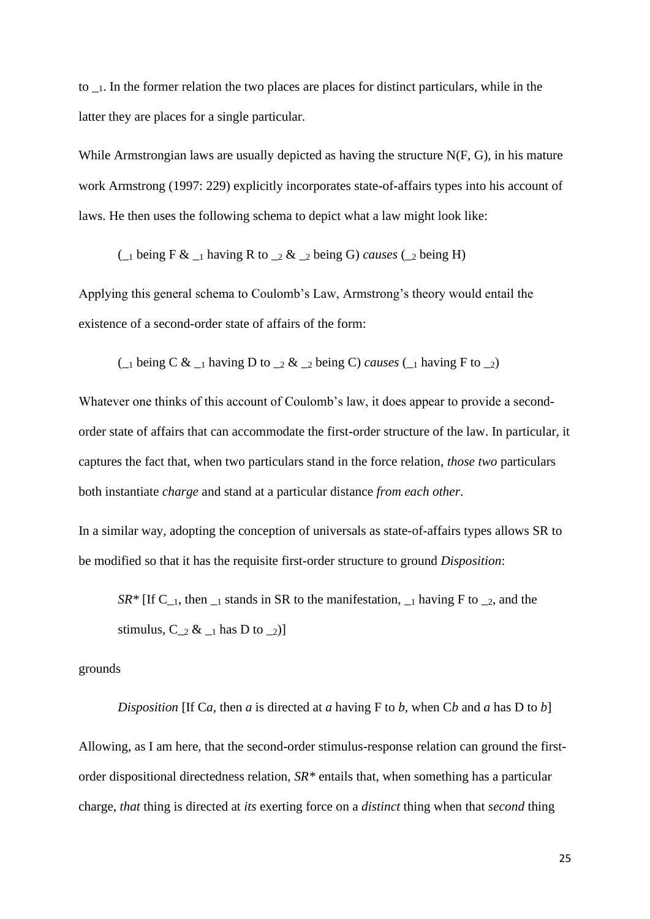to \_1. In the former relation the two places are places for distinct particulars, while in the latter they are places for a single particular.

While Armstrongian laws are usually depicted as having the structure N(F, G), in his mature work Armstrong (1997: 229) explicitly incorporates state-of-affairs types into his account of laws. He then uses the following schema to depict what a law might look like:

( $\angle$ 1 being F &  $\angle$ 1 having R to  $\angle$ 2 &  $\angle$ 2 being G) *causes* ( $\angle$ 2 being H)

Applying this general schema to Coulomb's Law, Armstrong's theory would entail the existence of a second-order state of affairs of the form:

( $\angle$ 1 being C &  $\angle$ 1 having D to  $\angle$ 2 &  $\angle$ 2 being C) *causes* ( $\angle$ 1 having F to  $\angle$ 2)

Whatever one thinks of this account of Coulomb's law, it does appear to provide a secondorder state of affairs that can accommodate the first-order structure of the law. In particular, it captures the fact that, when two particulars stand in the force relation, *those two* particulars both instantiate *charge* and stand at a particular distance *from each other*.

In a similar way, adopting the conception of universals as state-of-affairs types allows SR to be modified so that it has the requisite first-order structure to ground *Disposition*:

 $SR^*$  [If C<sub>-1</sub>, then <sub>-1</sub> stands in SR to the manifestation,  $_1$  having F to  $_2$ , and the stimulus,  $C_{2} <_{-1}$  has D to  $_{-2}$ )

grounds

*Disposition* [If C*a*, then *a* is directed at *a* having F to *b*, when C*b* and *a* has D to *b*] Allowing, as I am here, that the second-order stimulus-response relation can ground the firstorder dispositional directedness relation, *SR\** entails that, when something has a particular charge, *that* thing is directed at *its* exerting force on a *distinct* thing when that *second* thing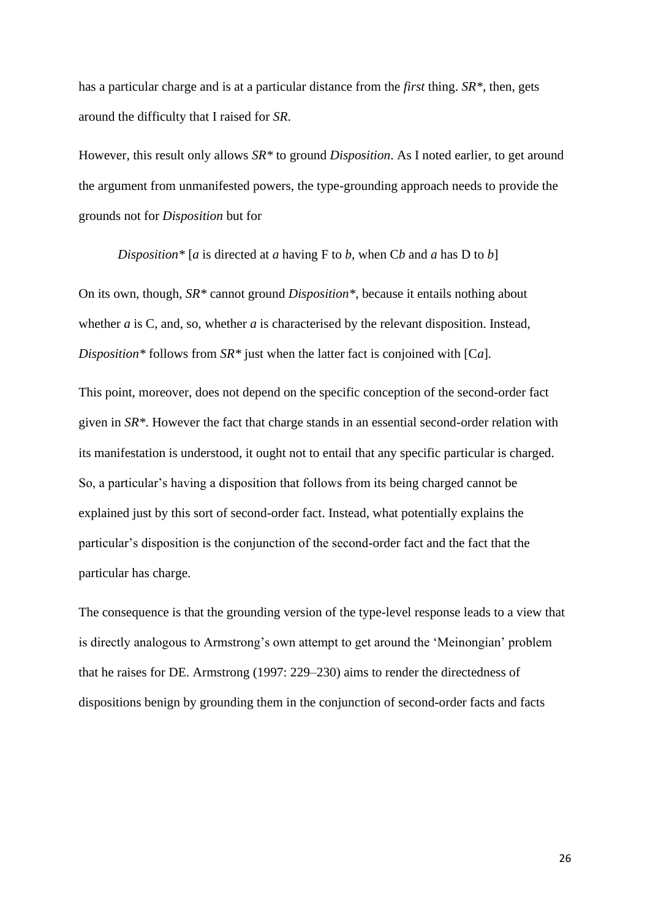has a particular charge and is at a particular distance from the *first* thing. *SR\**, then, gets around the difficulty that I raised for *SR*.

However, this result only allows *SR\** to ground *Disposition*. As I noted earlier, to get around the argument from unmanifested powers, the type-grounding approach needs to provide the grounds not for *Disposition* but for

*Disposition\** [*a* is directed at *a* having F to *b*, when C*b* and *a* has D to *b*]

On its own, though, *SR\** cannot ground *Disposition\**, because it entails nothing about whether *a* is C, and, so, whether *a* is characterised by the relevant disposition. Instead, *Disposition\** follows from *SR\** just when the latter fact is conjoined with [C*a*].

This point, moreover, does not depend on the specific conception of the second-order fact given in *SR\**. However the fact that charge stands in an essential second-order relation with its manifestation is understood, it ought not to entail that any specific particular is charged. So, a particular's having a disposition that follows from its being charged cannot be explained just by this sort of second-order fact. Instead, what potentially explains the particular's disposition is the conjunction of the second-order fact and the fact that the particular has charge.

The consequence is that the grounding version of the type-level response leads to a view that is directly analogous to Armstrong's own attempt to get around the 'Meinongian' problem that he raises for DE. Armstrong (1997: 229–230) aims to render the directedness of dispositions benign by grounding them in the conjunction of second-order facts and facts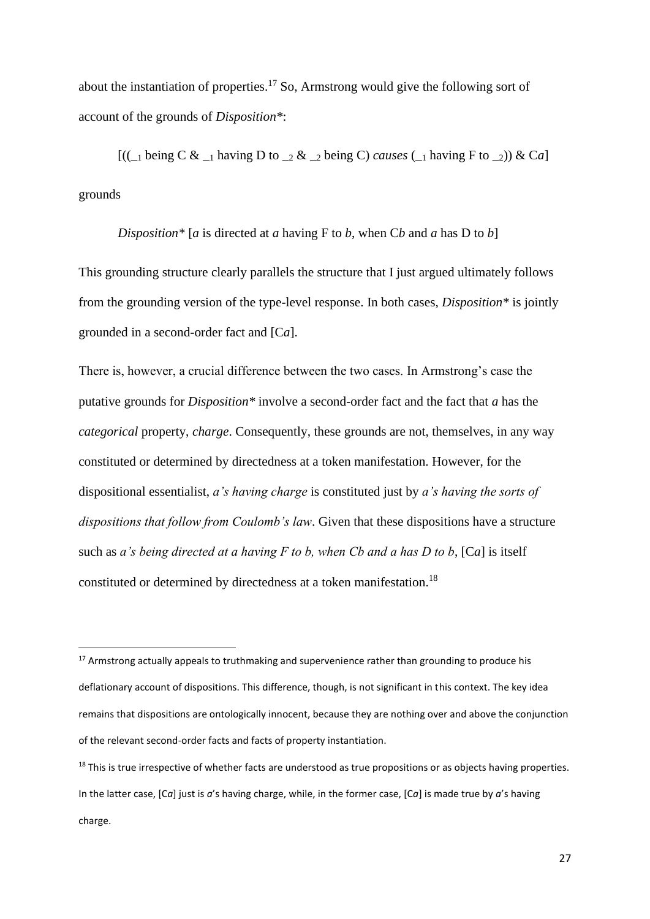about the instantiation of properties.<sup>17</sup> So, Armstrong would give the following sort of account of the grounds of *Disposition\**:

 $[(\Box)$  being C &  $\Box$  having D to  $\Box$  &  $\Box$  being C) *causes* ( $\Box$  having F to  $\Box$ )) & Ca grounds

## *Disposition\** [*a* is directed at *a* having F to *b*, when C*b* and *a* has D to *b*]

This grounding structure clearly parallels the structure that I just argued ultimately follows from the grounding version of the type-level response. In both cases, *Disposition\** is jointly grounded in a second-order fact and [C*a*].

There is, however, a crucial difference between the two cases. In Armstrong's case the putative grounds for *Disposition\** involve a second-order fact and the fact that *a* has the *categorical* property, *charge*. Consequently, these grounds are not, themselves, in any way constituted or determined by directedness at a token manifestation. However, for the dispositional essentialist, *a's having charge* is constituted just by *a's having the sorts of dispositions that follow from Coulomb's law*. Given that these dispositions have a structure such as *a's being directed at a having F to b, when Cb and a has D to b*, [C*a*] is itself constituted or determined by directedness at a token manifestation.<sup>18</sup>

 $17$  Armstrong actually appeals to truthmaking and supervenience rather than grounding to produce his deflationary account of dispositions. This difference, though, is not significant in this context. The key idea remains that dispositions are ontologically innocent, because they are nothing over and above the conjunction of the relevant second-order facts and facts of property instantiation.

<sup>&</sup>lt;sup>18</sup> This is true irrespective of whether facts are understood as true propositions or as objects having properties. In the latter case, [C*a*] just is *a*'s having charge, while, in the former case, [C*a*] is made true by *a*'s having charge.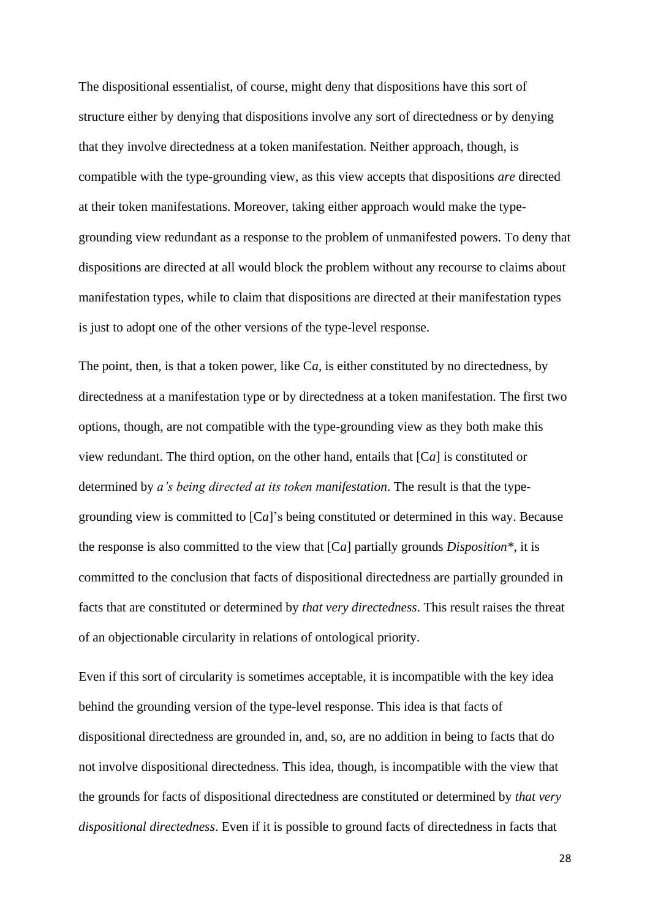The dispositional essentialist, of course, might deny that dispositions have this sort of structure either by denying that dispositions involve any sort of directedness or by denying that they involve directedness at a token manifestation. Neither approach, though, is compatible with the type-grounding view, as this view accepts that dispositions *are* directed at their token manifestations. Moreover, taking either approach would make the typegrounding view redundant as a response to the problem of unmanifested powers. To deny that dispositions are directed at all would block the problem without any recourse to claims about manifestation types, while to claim that dispositions are directed at their manifestation types is just to adopt one of the other versions of the type-level response.

The point, then, is that a token power, like C*a*, is either constituted by no directedness, by directedness at a manifestation type or by directedness at a token manifestation. The first two options, though, are not compatible with the type-grounding view as they both make this view redundant. The third option, on the other hand, entails that [C*a*] is constituted or determined by *a's being directed at its token manifestation*. The result is that the typegrounding view is committed to [C*a*]'s being constituted or determined in this way. Because the response is also committed to the view that [C*a*] partially grounds *Disposition\**, it is committed to the conclusion that facts of dispositional directedness are partially grounded in facts that are constituted or determined by *that very directedness*. This result raises the threat of an objectionable circularity in relations of ontological priority.

Even if this sort of circularity is sometimes acceptable, it is incompatible with the key idea behind the grounding version of the type-level response. This idea is that facts of dispositional directedness are grounded in, and, so, are no addition in being to facts that do not involve dispositional directedness. This idea, though, is incompatible with the view that the grounds for facts of dispositional directedness are constituted or determined by *that very dispositional directedness*. Even if it is possible to ground facts of directedness in facts that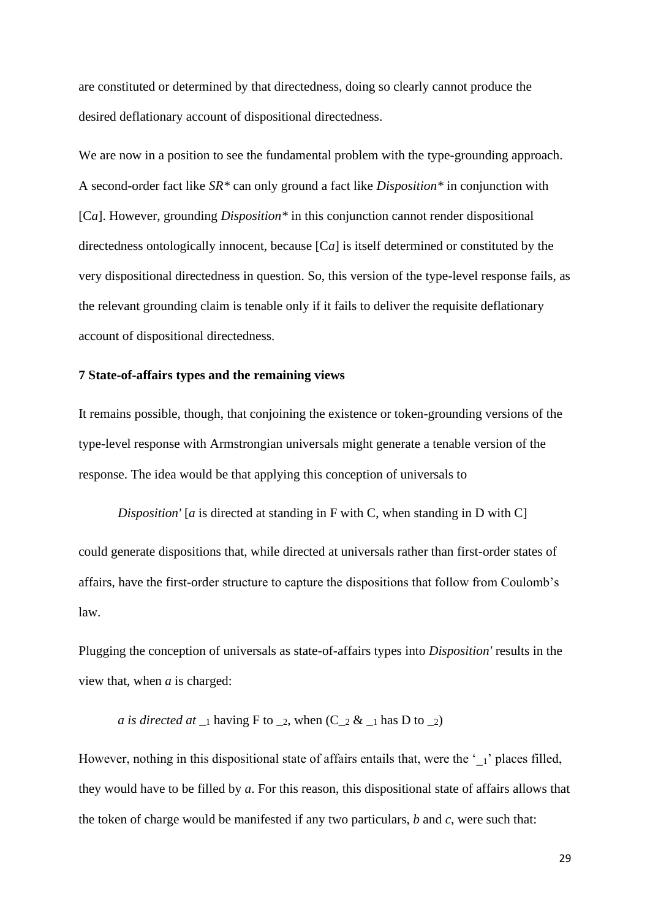are constituted or determined by that directedness, doing so clearly cannot produce the desired deflationary account of dispositional directedness.

We are now in a position to see the fundamental problem with the type-grounding approach. A second-order fact like *SR\** can only ground a fact like *Disposition\** in conjunction with [C*a*]. However, grounding *Disposition\** in this conjunction cannot render dispositional directedness ontologically innocent, because [C*a*] is itself determined or constituted by the very dispositional directedness in question. So, this version of the type-level response fails, as the relevant grounding claim is tenable only if it fails to deliver the requisite deflationary account of dispositional directedness.

## **7 State-of-affairs types and the remaining views**

It remains possible, though, that conjoining the existence or token-grounding versions of the type-level response with Armstrongian universals might generate a tenable version of the response. The idea would be that applying this conception of universals to

*Disposition'* [*a* is directed at standing in F with C, when standing in D with C] could generate dispositions that, while directed at universals rather than first-order states of affairs, have the first-order structure to capture the dispositions that follow from Coulomb's law.

Plugging the conception of universals as state-of-affairs types into *Disposition'* results in the view that, when *a* is charged:

## *a* is directed at  $_{-1}$  having F to  $_{-2}$ , when (C<sub>-2</sub> &  $_{-1}$  has D to  $_{-2}$ )

However, nothing in this dispositional state of affairs entails that, were the  $\cdot$   $\cdot$   $\cdot$  places filled, they would have to be filled by *a*. For this reason, this dispositional state of affairs allows that the token of charge would be manifested if any two particulars, *b* and *c*, were such that: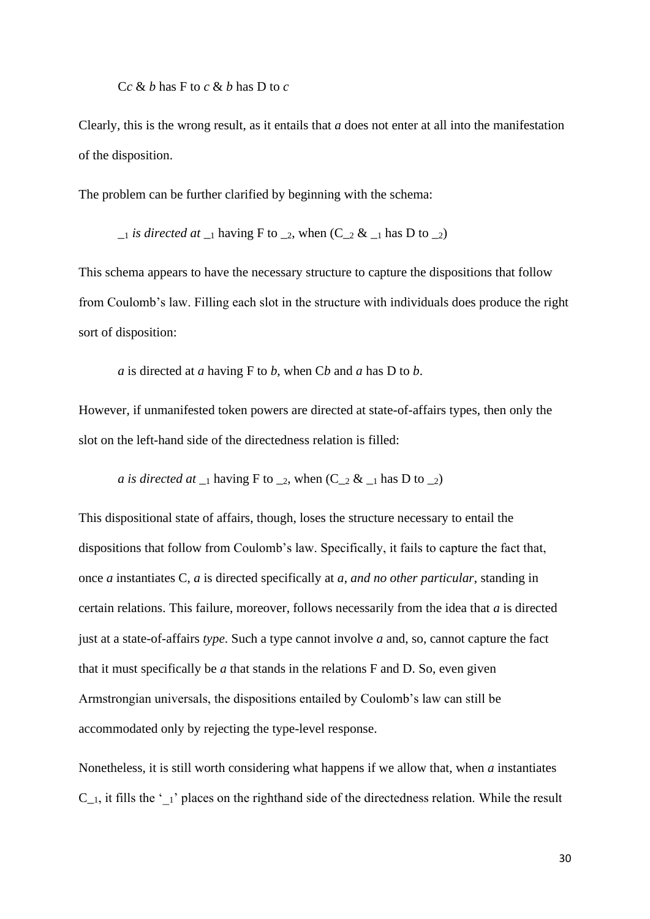C*c* & *b* has F to *c* & *b* has D to *c*

Clearly, this is the wrong result, as it entails that *a* does not enter at all into the manifestation of the disposition.

The problem can be further clarified by beginning with the schema:

 $_{-1}$  *is directed at*  $_{-1}$  having F to  $_{-2}$ , when (C<sub>-2</sub> &  $_{-1}$  has D to  $_{-2}$ )

This schema appears to have the necessary structure to capture the dispositions that follow from Coulomb's law. Filling each slot in the structure with individuals does produce the right sort of disposition:

*a* is directed at *a* having F to *b*, when C*b* and *a* has D to *b*.

However, if unmanifested token powers are directed at state-of-affairs types, then only the slot on the left-hand side of the directedness relation is filled:

*a* is directed at  $_{-1}$  having F to  $_{-2}$ , when (C<sub>-2</sub> &  $_{-1}$  has D to  $_{-2}$ )

This dispositional state of affairs, though, loses the structure necessary to entail the dispositions that follow from Coulomb's law. Specifically, it fails to capture the fact that, once *a* instantiates C, *a* is directed specifically at *a*, *and no other particular*, standing in certain relations. This failure, moreover, follows necessarily from the idea that *a* is directed just at a state-of-affairs *type*. Such a type cannot involve *a* and, so, cannot capture the fact that it must specifically be *a* that stands in the relations F and D. So, even given Armstrongian universals, the dispositions entailed by Coulomb's law can still be accommodated only by rejecting the type-level response.

Nonetheless, it is still worth considering what happens if we allow that, when *a* instantiates  $C_{-1}$ , it fills the '<sub>1</sub>' places on the righthand side of the directedness relation. While the result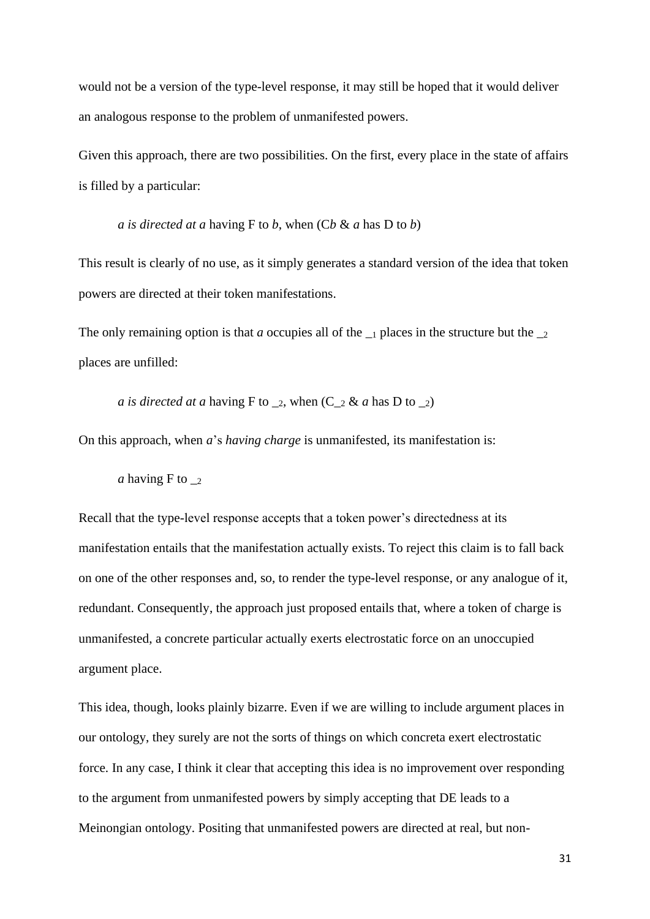would not be a version of the type-level response, it may still be hoped that it would deliver an analogous response to the problem of unmanifested powers.

Given this approach, there are two possibilities. On the first, every place in the state of affairs is filled by a particular:

*a is directed at a* having F to *b*, when  $(Cb \& a$  has D to *b*)

This result is clearly of no use, as it simply generates a standard version of the idea that token powers are directed at their token manifestations.

The only remaining option is that *a* occupies all of the  $\overline{\phantom{a}}$  places in the structure but the  $\overline{\phantom{a}}$ places are unfilled:

*a is directed at a* having F to  $\_2$ , when  $(C_2 \& a$  has D to  $\_2)$ 

On this approach, when *a*'s *having charge* is unmanifested, its manifestation is:

*a* having F to  $_{2}$ 

Recall that the type-level response accepts that a token power's directedness at its manifestation entails that the manifestation actually exists. To reject this claim is to fall back on one of the other responses and, so, to render the type-level response, or any analogue of it, redundant. Consequently, the approach just proposed entails that, where a token of charge is unmanifested, a concrete particular actually exerts electrostatic force on an unoccupied argument place.

This idea, though, looks plainly bizarre. Even if we are willing to include argument places in our ontology, they surely are not the sorts of things on which concreta exert electrostatic force. In any case, I think it clear that accepting this idea is no improvement over responding to the argument from unmanifested powers by simply accepting that DE leads to a Meinongian ontology. Positing that unmanifested powers are directed at real, but non-

31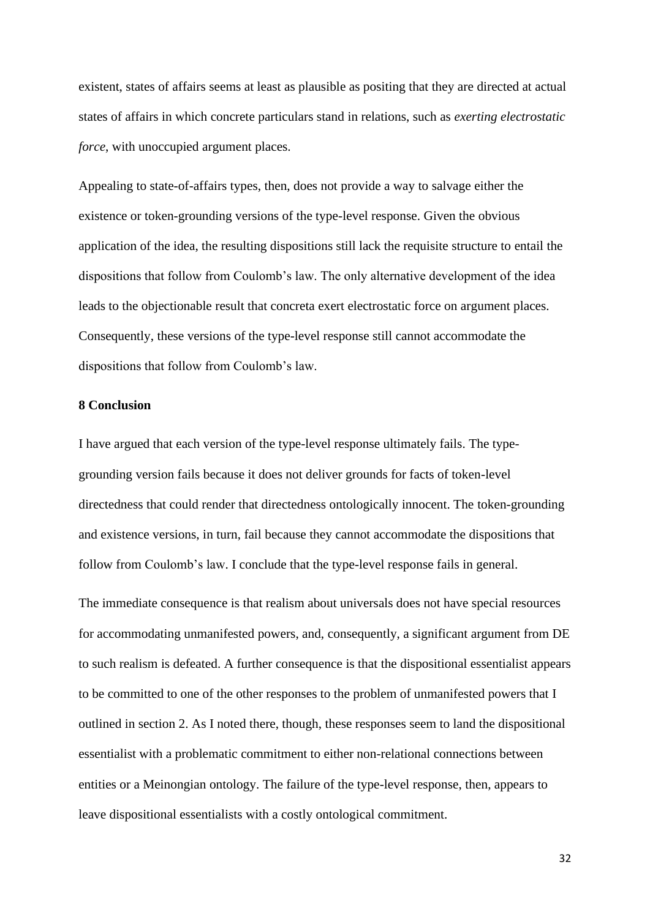existent, states of affairs seems at least as plausible as positing that they are directed at actual states of affairs in which concrete particulars stand in relations, such as *exerting electrostatic force*, with unoccupied argument places.

Appealing to state-of-affairs types, then, does not provide a way to salvage either the existence or token-grounding versions of the type-level response. Given the obvious application of the idea, the resulting dispositions still lack the requisite structure to entail the dispositions that follow from Coulomb's law. The only alternative development of the idea leads to the objectionable result that concreta exert electrostatic force on argument places. Consequently, these versions of the type-level response still cannot accommodate the dispositions that follow from Coulomb's law.

# **8 Conclusion**

I have argued that each version of the type-level response ultimately fails. The typegrounding version fails because it does not deliver grounds for facts of token-level directedness that could render that directedness ontologically innocent. The token-grounding and existence versions, in turn, fail because they cannot accommodate the dispositions that follow from Coulomb's law. I conclude that the type-level response fails in general.

The immediate consequence is that realism about universals does not have special resources for accommodating unmanifested powers, and, consequently, a significant argument from DE to such realism is defeated. A further consequence is that the dispositional essentialist appears to be committed to one of the other responses to the problem of unmanifested powers that I outlined in section 2. As I noted there, though, these responses seem to land the dispositional essentialist with a problematic commitment to either non-relational connections between entities or a Meinongian ontology. The failure of the type-level response, then, appears to leave dispositional essentialists with a costly ontological commitment.

32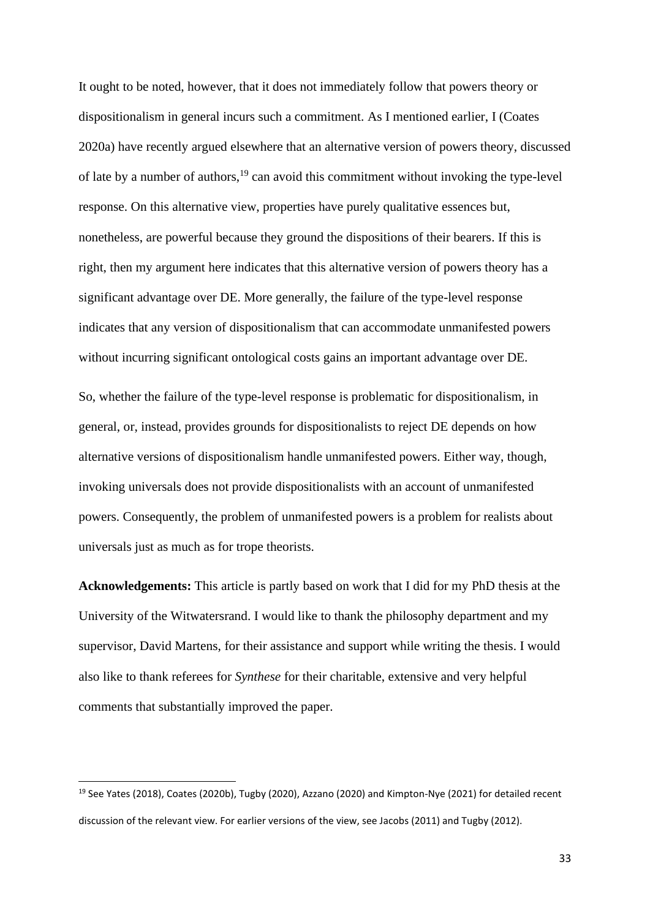It ought to be noted, however, that it does not immediately follow that powers theory or dispositionalism in general incurs such a commitment. As I mentioned earlier, I (Coates 2020a) have recently argued elsewhere that an alternative version of powers theory, discussed of late by a number of authors,<sup>19</sup> can avoid this commitment without invoking the type-level response. On this alternative view, properties have purely qualitative essences but, nonetheless, are powerful because they ground the dispositions of their bearers. If this is right, then my argument here indicates that this alternative version of powers theory has a significant advantage over DE. More generally, the failure of the type-level response indicates that any version of dispositionalism that can accommodate unmanifested powers without incurring significant ontological costs gains an important advantage over DE.

So, whether the failure of the type-level response is problematic for dispositionalism, in general, or, instead, provides grounds for dispositionalists to reject DE depends on how alternative versions of dispositionalism handle unmanifested powers. Either way, though, invoking universals does not provide dispositionalists with an account of unmanifested powers. Consequently, the problem of unmanifested powers is a problem for realists about universals just as much as for trope theorists.

**Acknowledgements:** This article is partly based on work that I did for my PhD thesis at the University of the Witwatersrand. I would like to thank the philosophy department and my supervisor, David Martens, for their assistance and support while writing the thesis. I would also like to thank referees for *Synthese* for their charitable, extensive and very helpful comments that substantially improved the paper.

<sup>&</sup>lt;sup>19</sup> See Yates (2018), Coates (2020b), Tugby (2020), Azzano (2020) and Kimpton-Nye (2021) for detailed recent discussion of the relevant view. For earlier versions of the view, see Jacobs (2011) and Tugby (2012).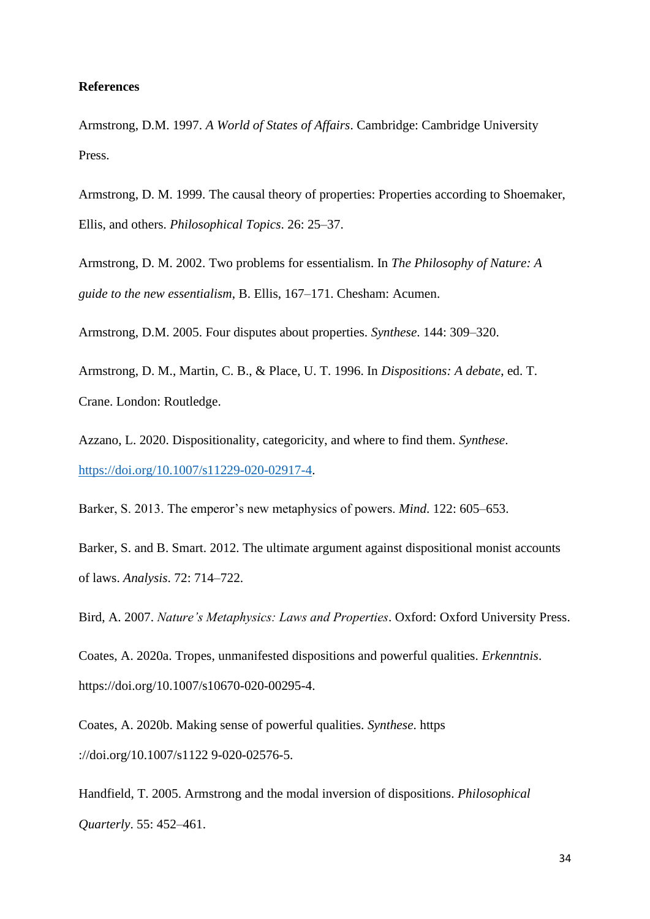#### **References**

Armstrong, D.M. 1997. *A World of States of Affairs*. Cambridge: Cambridge University Press.

Armstrong, D. M. 1999. The causal theory of properties: Properties according to Shoemaker, Ellis, and others. *Philosophical Topics*. 26: 25–37.

Armstrong, D. M. 2002. Two problems for essentialism. In *The Philosophy of Nature: A guide to the new essentialism*, B. Ellis, 167–171. Chesham: Acumen.

Armstrong, D.M. 2005. Four disputes about properties. *Synthese*. 144: 309–320.

Armstrong, D. M., Martin, C. B., & Place, U. T. 1996. In *Dispositions: A debate*, ed. T. Crane. London: Routledge.

Azzano, L. 2020. Dispositionality, categoricity, and where to find them. *Synthese*. [https://doi.org/10.1007/s11229-020-02917-4.](https://doi.org/10.1007/s11229-020-02917-4)

Barker, S. 2013. The emperor's new metaphysics of powers. *Mind*. 122: 605–653.

Barker, S. and B. Smart. 2012. The ultimate argument against dispositional monist accounts of laws. *Analysis*. 72: 714–722.

Bird, A. 2007. *Nature's Metaphysics: Laws and Properties*. Oxford: Oxford University Press.

Coates, A. 2020a. Tropes, unmanifested dispositions and powerful qualities. *Erkenntnis*. https://doi.org/10.1007/s10670-020-00295-4.

Coates, A. 2020b. Making sense of powerful qualities. *Synthese*. https ://doi.org/10.1007/s1122 9-020-02576-5.

Handfield, T. 2005. Armstrong and the modal inversion of dispositions. *Philosophical Quarterly*. 55: 452–461.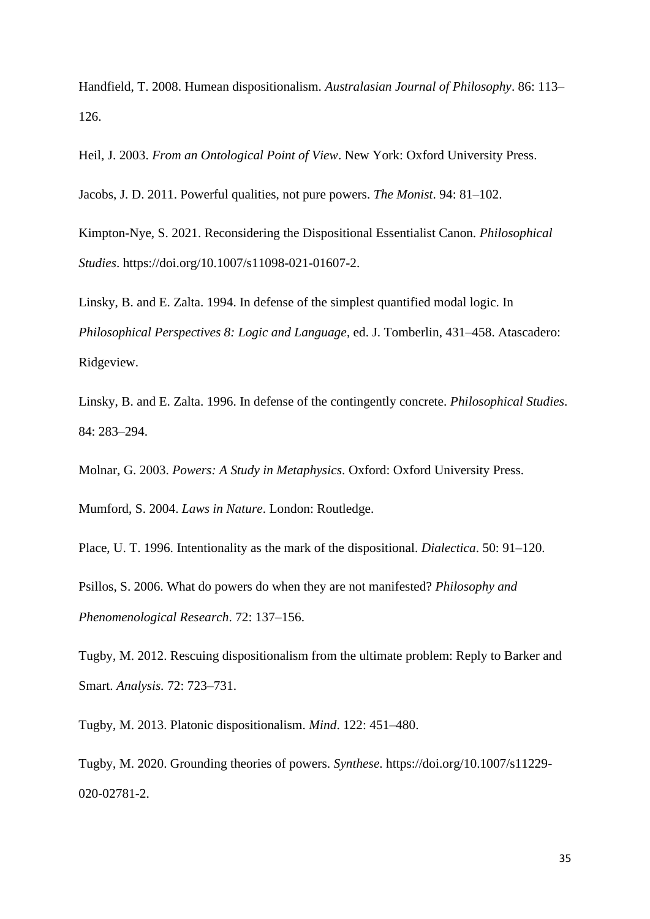Handfield, T. 2008. Humean dispositionalism. *Australasian Journal of Philosophy*. 86: 113– 126.

Heil, J. 2003. *From an Ontological Point of View*. New York: Oxford University Press.

Jacobs, J. D. 2011. Powerful qualities, not pure powers. *The Monist*. 94: 81–102.

Kimpton-Nye, S. 2021. Reconsidering the Dispositional Essentialist Canon. *Philosophical Studies*. https://doi.org/10.1007/s11098-021-01607-2.

Linsky, B. and E. Zalta. 1994. In defense of the simplest quantified modal logic. In *Philosophical Perspectives 8: Logic and Language*, ed. J. Tomberlin, 431–458. Atascadero: Ridgeview.

Linsky, B. and E. Zalta. 1996. In defense of the contingently concrete. *Philosophical Studies*. 84: 283–294.

Molnar, G. 2003. *Powers: A Study in Metaphysics*. Oxford: Oxford University Press.

Mumford, S. 2004. *Laws in Nature*. London: Routledge.

Place, U. T. 1996. Intentionality as the mark of the dispositional. *Dialectica*. 50: 91–120.

Psillos, S. 2006. What do powers do when they are not manifested? *Philosophy and Phenomenological Research*. 72: 137–156.

Tugby, M. 2012. Rescuing dispositionalism from the ultimate problem: Reply to Barker and Smart. *Analysis.* 72: 723–731.

Tugby, M. 2013. Platonic dispositionalism. *Mind*. 122: 451–480.

Tugby, M. 2020. Grounding theories of powers. *Synthese*. https://doi.org/10.1007/s11229- 020-02781-2.